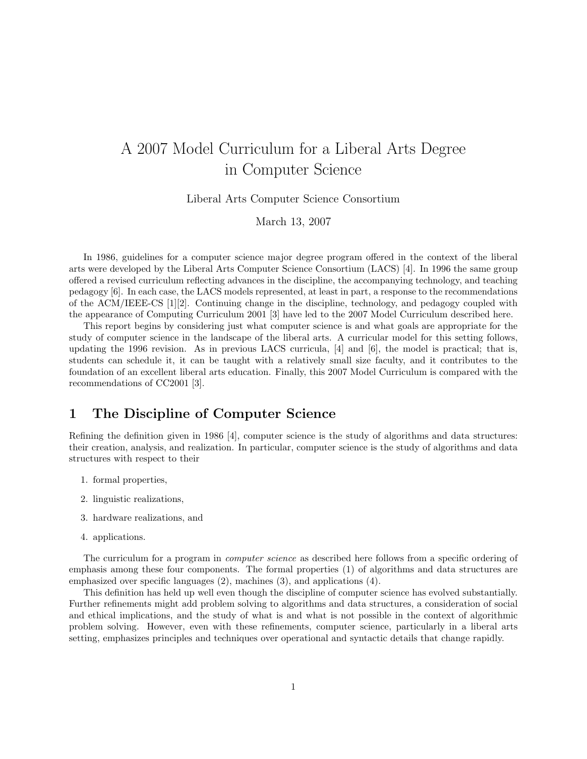# A 2007 Model Curriculum for a Liberal Arts Degree in Computer Science

Liberal Arts Computer Science Consortium

March 13, 2007

In 1986, guidelines for a computer science major degree program offered in the context of the liberal arts were developed by the Liberal Arts Computer Science Consortium (LACS) [4]. In 1996 the same group offered a revised curriculum reflecting advances in the discipline, the accompanying technology, and teaching pedagogy [6]. In each case, the LACS models represented, at least in part, a response to the recommendations of the ACM/IEEE-CS [1][2]. Continuing change in the discipline, technology, and pedagogy coupled with the appearance of Computing Curriculum 2001 [3] have led to the 2007 Model Curriculum described here.

This report begins by considering just what computer science is and what goals are appropriate for the study of computer science in the landscape of the liberal arts. A curricular model for this setting follows, updating the 1996 revision. As in previous LACS curricula, [4] and [6], the model is practical; that is, students can schedule it, it can be taught with a relatively small size faculty, and it contributes to the foundation of an excellent liberal arts education. Finally, this 2007 Model Curriculum is compared with the recommendations of CC2001 [3].

# 1 The Discipline of Computer Science

Refining the definition given in 1986 [4], computer science is the study of algorithms and data structures: their creation, analysis, and realization. In particular, computer science is the study of algorithms and data structures with respect to their

- 1. formal properties,
- 2. linguistic realizations,
- 3. hardware realizations, and
- 4. applications.

The curriculum for a program in *computer science* as described here follows from a specific ordering of emphasis among these four components. The formal properties (1) of algorithms and data structures are emphasized over specific languages (2), machines (3), and applications (4).

This definition has held up well even though the discipline of computer science has evolved substantially. Further refinements might add problem solving to algorithms and data structures, a consideration of social and ethical implications, and the study of what is and what is not possible in the context of algorithmic problem solving. However, even with these refinements, computer science, particularly in a liberal arts setting, emphasizes principles and techniques over operational and syntactic details that change rapidly.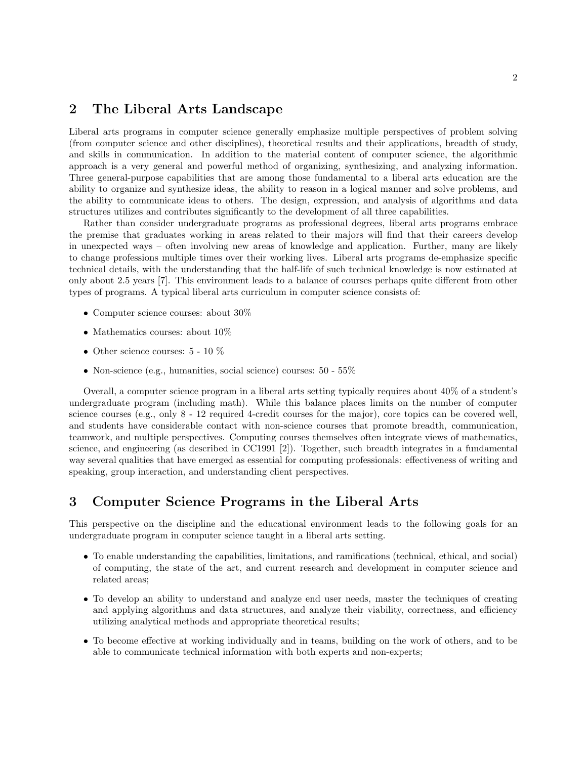# 2 The Liberal Arts Landscape

Liberal arts programs in computer science generally emphasize multiple perspectives of problem solving (from computer science and other disciplines), theoretical results and their applications, breadth of study, and skills in communication. In addition to the material content of computer science, the algorithmic approach is a very general and powerful method of organizing, synthesizing, and analyzing information. Three general-purpose capabilities that are among those fundamental to a liberal arts education are the ability to organize and synthesize ideas, the ability to reason in a logical manner and solve problems, and the ability to communicate ideas to others. The design, expression, and analysis of algorithms and data structures utilizes and contributes significantly to the development of all three capabilities.

Rather than consider undergraduate programs as professional degrees, liberal arts programs embrace the premise that graduates working in areas related to their majors will find that their careers develop in unexpected ways – often involving new areas of knowledge and application. Further, many are likely to change professions multiple times over their working lives. Liberal arts programs de-emphasize specific technical details, with the understanding that the half-life of such technical knowledge is now estimated at only about 2.5 years [7]. This environment leads to a balance of courses perhaps quite different from other types of programs. A typical liberal arts curriculum in computer science consists of:

- Computer science courses: about 30%
- Mathematics courses: about  $10\%$
- Other science courses:  $5 10\%$
- Non-science (e.g., humanities, social science) courses:  $50 55\%$

Overall, a computer science program in a liberal arts setting typically requires about 40% of a student's undergraduate program (including math). While this balance places limits on the number of computer science courses (e.g., only 8 - 12 required 4-credit courses for the major), core topics can be covered well, and students have considerable contact with non-science courses that promote breadth, communication, teamwork, and multiple perspectives. Computing courses themselves often integrate views of mathematics, science, and engineering (as described in CC1991 [2]). Together, such breadth integrates in a fundamental way several qualities that have emerged as essential for computing professionals: effectiveness of writing and speaking, group interaction, and understanding client perspectives.

# 3 Computer Science Programs in the Liberal Arts

This perspective on the discipline and the educational environment leads to the following goals for an undergraduate program in computer science taught in a liberal arts setting.

- To enable understanding the capabilities, limitations, and ramifications (technical, ethical, and social) of computing, the state of the art, and current research and development in computer science and related areas;
- To develop an ability to understand and analyze end user needs, master the techniques of creating and applying algorithms and data structures, and analyze their viability, correctness, and efficiency utilizing analytical methods and appropriate theoretical results;
- To become effective at working individually and in teams, building on the work of others, and to be able to communicate technical information with both experts and non-experts;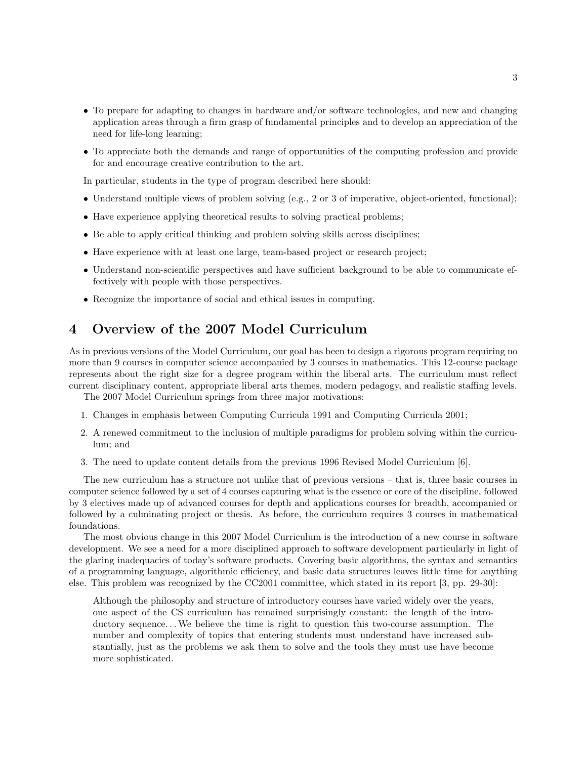- To prepare for adapting to changes in hardware and/or software technologies, and new and changing application areas through a firm grasp of fundamental principles and to develop an appreciation of the need for life-long learning;
- To appreciate both the demands and range of opportunities of the computing profession and provide for and encourage creative contribution to the art.

In particular, students in the type of program described here should:

- Understand multiple views of problem solving (e.g., 2 or 3 of imperative, object-oriented, functional);
- Have experience applying theoretical results to solving practical problems;
- Be able to apply critical thinking and problem solving skills across disciplines;
- Have experience with at least one large, team-based project or research project;
- Understand non-scientific perspectives and have sufficient background to be able to communicate effectively with people with those perspectives.
- Recognize the importance of social and ethical issues in computing.

# 4 Overview of the 2007 Model Curriculum

As in previous versions of the Model Curriculum, our goal has been to design a rigorous program requiring no more than 9 courses in computer science accompanied by 3 courses in mathematics. This 12-course package represents about the right size for a degree program within the liberal arts. The curriculum must reflect current disciplinary content, appropriate liberal arts themes, modern pedagogy, and realistic staffing levels.

The 2007 Model Curriculum springs from three major motivations:

- 1. Changes in emphasis between Computing Curricula 1991 and Computing Curricula 2001;
- 2. A renewed commitment to the inclusion of multiple paradigms for problem solving within the curriculum; and
- 3. The need to update content details from the previous 1996 Revised Model Curriculum [6].

The new curriculum has a structure not unlike that of previous versions – that is, three basic courses in computer science followed by a set of 4 courses capturing what is the essence or core of the discipline, followed by 3 electives made up of advanced courses for depth and applications courses for breadth, accompanied or followed by a culminating project or thesis. As before, the curriculum requires 3 courses in mathematical foundations.

The most obvious change in this 2007 Model Curriculum is the introduction of a new course in software development. We see a need for a more disciplined approach to software development particularly in light of the glaring inadequacies of today's software products. Covering basic algorithms, the syntax and semantics of a programming language, algorithmic efficiency, and basic data structures leaves little time for anything else. This problem was recognized by the CC2001 committee, which stated in its report [3, pp. 29-30]:

Although the philosophy and structure of introductory courses have varied widely over the years, one aspect of the CS curriculum has remained surprisingly constant: the length of the introductory sequence...We believe the time is right to question this two-course assumption. The number and complexity of topics that entering students must understand have increased substantially, just as the problems we ask them to solve and the tools they must use have become more sophisticated.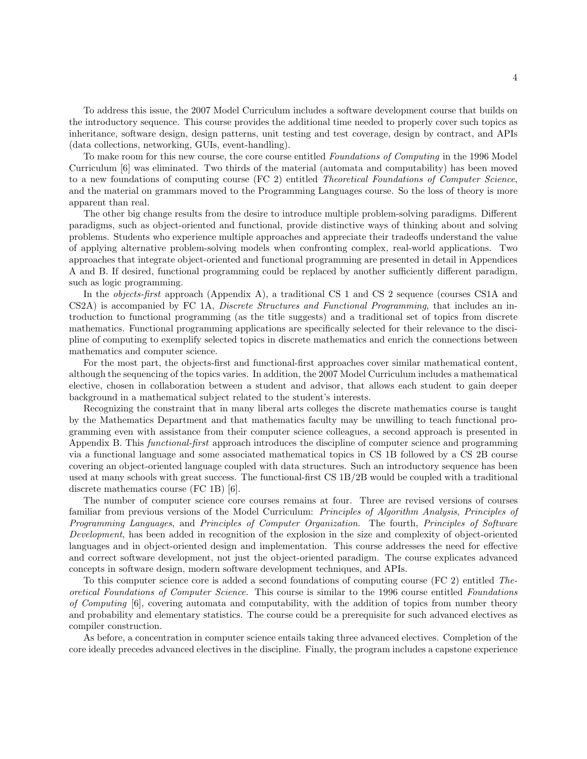To address this issue, the 2007 Model Curriculum includes a software development course that builds on the introductory sequence. This course provides the additional time needed to properly cover such topics as inheritance, software design, design patterns, unit testing and test coverage, design by contract, and APIs (data collections, networking, GUIs, event-handling).

To make room for this new course, the core course entitled Foundations of Computing in the 1996 Model Curriculum [6] was eliminated. Two thirds of the material (automata and computability) has been moved to a new foundations of computing course (FC 2) entitled Theoretical Foundations of Computer Science, and the material on grammars moved to the Programming Languages course. So the loss of theory is more apparent than real.

The other big change results from the desire to introduce multiple problem-solving paradigms. Different paradigms, such as object-oriented and functional, provide distinctive ways of thinking about and solving problems. Students who experience multiple approaches and appreciate their tradeoffs understand the value of applying alternative problem-solving models when confronting complex, real-world applications. Two approaches that integrate object-oriented and functional programming are presented in detail in Appendices A and B. If desired, functional programming could be replaced by another sufficiently different paradigm, such as logic programming.

In the *objects-first* approach (Appendix A), a traditional CS 1 and CS 2 sequence (courses CS1A and CS2A) is accompanied by FC 1A, Discrete Structures and Functional Programming, that includes an introduction to functional programming (as the title suggests) and a traditional set of topics from discrete mathematics. Functional programming applications are specifically selected for their relevance to the discipline of computing to exemplify selected topics in discrete mathematics and enrich the connections between mathematics and computer science.

For the most part, the objects-first and functional-first approaches cover similar mathematical content, although the sequencing of the topics varies. In addition, the 2007 Model Curriculum includes a mathematical elective, chosen in collaboration between a student and advisor, that allows each student to gain deeper background in a mathematical subject related to the student's interests.

Recognizing the constraint that in many liberal arts colleges the discrete mathematics course is taught by the Mathematics Department and that mathematics faculty may be unwilling to teach functional programming even with assistance from their computer science colleagues, a second approach is presented in Appendix B. This *functional-first* approach introduces the discipline of computer science and programming via a functional language and some associated mathematical topics in CS 1B followed by a CS 2B course covering an object-oriented language coupled with data structures. Such an introductory sequence has been used at many schools with great success. The functional-first CS 1B/2B would be coupled with a traditional discrete mathematics course (FC 1B) [6].

The number of computer science core courses remains at four. Three are revised versions of courses familiar from previous versions of the Model Curriculum: Principles of Algorithm Analysis, Principles of Programming Languages, and Principles of Computer Organization. The fourth, Principles of Software Development, has been added in recognition of the explosion in the size and complexity of object-oriented languages and in object-oriented design and implementation. This course addresses the need for effective and correct software development, not just the object-oriented paradigm. The course explicates advanced concepts in software design, modern software development techniques, and APIs.

To this computer science core is added a second foundations of computing course (FC 2) entitled Theoretical Foundations of Computer Science. This course is similar to the 1996 course entitled Foundations of Computing [6], covering automata and computability, with the addition of topics from number theory and probability and elementary statistics. The course could be a prerequisite for such advanced electives as compiler construction.

As before, a concentration in computer science entails taking three advanced electives. Completion of the core ideally precedes advanced electives in the discipline. Finally, the program includes a capstone experience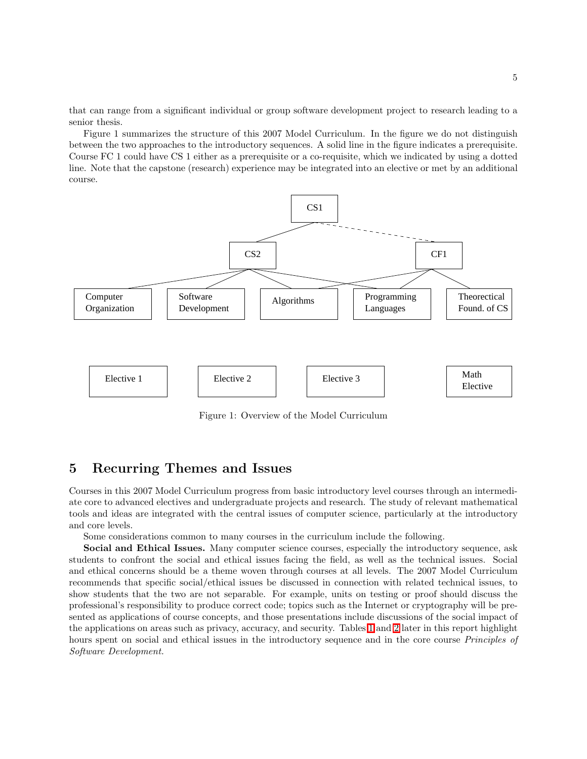that can range from a significant individual or group software development project to research leading to a senior thesis.

Figure 1 summarizes the structure of this 2007 Model Curriculum. In the figure we do not distinguish between the two approaches to the introductory sequences. A solid line in the figure indicates a prerequisite. Course FC 1 could have CS 1 either as a prerequisite or a co-requisite, which we indicated by using a dotted line. Note that the capstone (research) experience may be integrated into an elective or met by an additional course.



Figure 1: Overview of the Model Curriculum

# 5 Recurring Themes and Issues

Courses in this 2007 Model Curriculum progress from basic introductory level courses through an intermediate core to advanced electives and undergraduate projects and research. The study of relevant mathematical tools and ideas are integrated with the central issues of computer science, particularly at the introductory and core levels.

Some considerations common to many courses in the curriculum include the following.

Social and Ethical Issues. Many computer science courses, especially the introductory sequence, ask students to confront the social and ethical issues facing the field, as well as the technical issues. Social and ethical concerns should be a theme woven through courses at all levels. The 2007 Model Curriculum recommends that specific social/ethical issues be discussed in connection with related technical issues, to show students that the two are not separable. For example, units on testing or proof should discuss the professional's responsibility to produce correct code; topics such as the Internet or cryptography will be presented as applications of course concepts, and those presentations include discussions of the social impact of the applications on areas such as privacy, accuracy, and security. Tables [1](#page-6-0) and [2](#page-10-0) later in this report highlight hours spent on social and ethical issues in the introductory sequence and in the core course *Principles of* Software Development.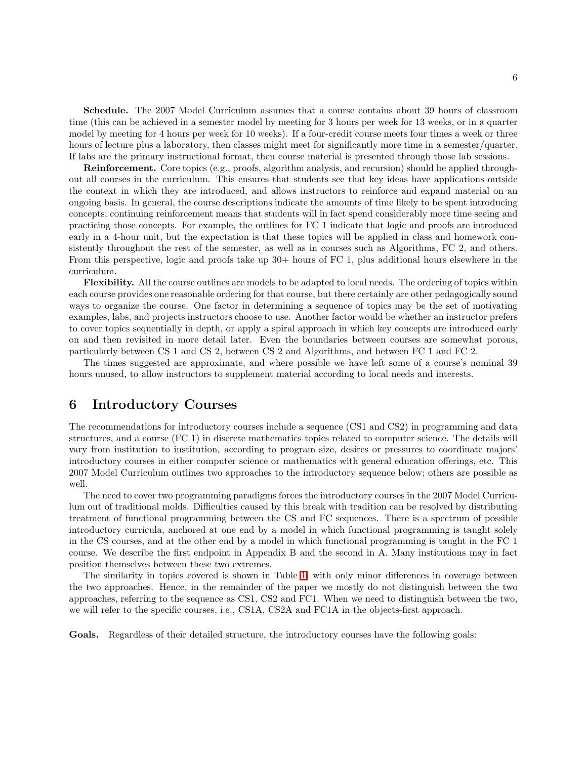Schedule. The 2007 Model Curriculum assumes that a course contains about 39 hours of classroom time (this can be achieved in a semester model by meeting for 3 hours per week for 13 weeks, or in a quarter model by meeting for 4 hours per week for 10 weeks). If a four-credit course meets four times a week or three hours of lecture plus a laboratory, then classes might meet for significantly more time in a semester/quarter. If labs are the primary instructional format, then course material is presented through those lab sessions.

Reinforcement. Core topics (e.g., proofs, algorithm analysis, and recursion) should be applied throughout all courses in the curriculum. This ensures that students see that key ideas have applications outside the context in which they are introduced, and allows instructors to reinforce and expand material on an ongoing basis. In general, the course descriptions indicate the amounts of time likely to be spent introducing concepts; continuing reinforcement means that students will in fact spend considerably more time seeing and practicing those concepts. For example, the outlines for FC 1 indicate that logic and proofs are introduced early in a 4-hour unit, but the expectation is that these topics will be applied in class and homework consistently throughout the rest of the semester, as well as in courses such as Algorithms, FC 2, and others. From this perspective, logic and proofs take up  $30+$  hours of FC 1, plus additional hours elsewhere in the curriculum.

Flexibility. All the course outlines are models to be adapted to local needs. The ordering of topics within each course provides one reasonable ordering for that course, but there certainly are other pedagogically sound ways to organize the course. One factor in determining a sequence of topics may be the set of motivating examples, labs, and projects instructors choose to use. Another factor would be whether an instructor prefers to cover topics sequentially in depth, or apply a spiral approach in which key concepts are introduced early on and then revisited in more detail later. Even the boundaries between courses are somewhat porous, particularly between CS 1 and CS 2, between CS 2 and Algorithms, and between FC 1 and FC 2.

The times suggested are approximate, and where possible we have left some of a course's nominal 39 hours unused, to allow instructors to supplement material according to local needs and interests.

# 6 Introductory Courses

The recommendations for introductory courses include a sequence (CS1 and CS2) in programming and data structures, and a course (FC 1) in discrete mathematics topics related to computer science. The details will vary from institution to institution, according to program size, desires or pressures to coordinate majors' introductory courses in either computer science or mathematics with general education offerings, etc. This 2007 Model Curriculum outlines two approaches to the introductory sequence below; others are possible as well.

The need to cover two programming paradigms forces the introductory courses in the 2007 Model Curriculum out of traditional molds. Difficulties caused by this break with tradition can be resolved by distributing treatment of functional programming between the CS and FC sequences. There is a spectrum of possible introductory curricula, anchored at one end by a model in which functional programming is taught solely in the CS courses, and at the other end by a model in which functional programming is taught in the FC 1 course. We describe the first endpoint in Appendix B and the second in A. Many institutions may in fact position themselves between these two extremes.

The similarity in topics covered is shown in Table [1,](#page-6-0) with only minor differences in coverage between the two approaches. Hence, in the remainder of the paper we mostly do not distinguish between the two approaches, referring to the sequence as CS1, CS2 and FC1. When we need to distinguish between the two, we will refer to the specific courses, i.e., CS1A, CS2A and FC1A in the objects-first approach.

Goals. Regardless of their detailed structure, the introductory courses have the following goals: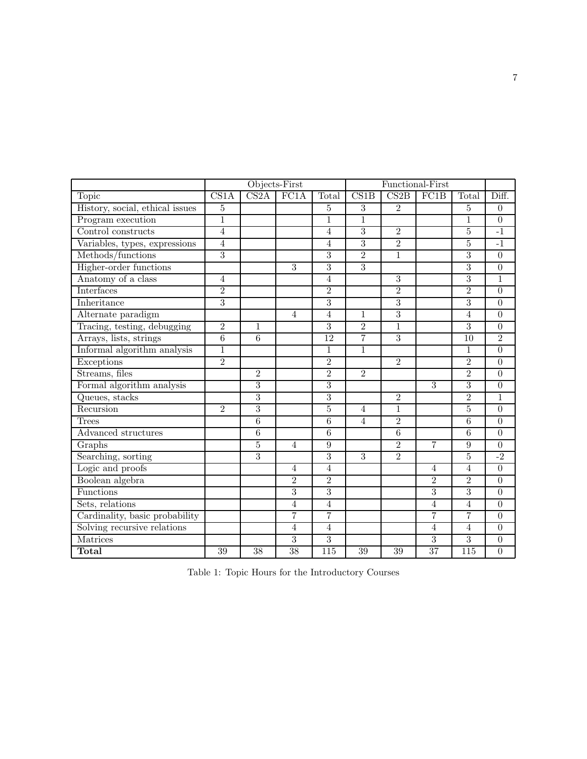|                                 |                | Objects-First   |                 |                  |                 | Functional-First |                |                  |                  |
|---------------------------------|----------------|-----------------|-----------------|------------------|-----------------|------------------|----------------|------------------|------------------|
| Topic                           | CS1A           | CS2A            | FC1A            | Total            | CS1B            | CS2B             | FC1B           | Total            | Diff.            |
| History, social, ethical issues | $\bf 5$        |                 |                 | $\bf 5$          | 3               | $\overline{2}$   |                | $\overline{5}$   | $\overline{0}$   |
| Program execution               | $\overline{1}$ |                 |                 | $\mathbf{1}$     | $\mathbf{1}$    |                  |                | $\mathbf 1$      | $\boldsymbol{0}$ |
| Control constructs              | $\overline{4}$ |                 |                 | 4                | $\overline{3}$  | $\overline{2}$   |                | $\overline{5}$   | $-1$             |
| Variables, types, expressions   | $\overline{4}$ |                 |                 | 4                | $\overline{3}$  | $\overline{2}$   |                | $\overline{5}$   | $-1$             |
| Methods/functions               | $\overline{3}$ |                 |                 | $\overline{3}$   | $\overline{2}$  | $\overline{1}$   |                | $\overline{3}$   | $\boldsymbol{0}$ |
| Higher-order functions          |                |                 | $\overline{3}$  | $\overline{3}$   | 3               |                  |                | $\overline{3}$   | $\Omega$         |
| Anatomy of a class              | $\overline{4}$ |                 |                 | $\overline{4}$   |                 | $\overline{3}$   |                | $\overline{3}$   | $\mathbf{1}$     |
| Interfaces                      | $\overline{2}$ |                 |                 | $\overline{2}$   |                 | $\overline{2}$   |                | $\overline{2}$   | $\boldsymbol{0}$ |
| Inheritance                     | $\overline{3}$ |                 |                 | $\overline{3}$   |                 | $\overline{3}$   |                | $\overline{3}$   | $\Omega$         |
| Alternate paradigm              |                |                 | $\overline{4}$  | $\overline{4}$   | $\mathbf{1}$    | $\overline{3}$   |                | $\overline{4}$   | $\overline{0}$   |
| Tracing, testing, debugging     | $\overline{2}$ | $\mathbf{1}$    |                 | $\overline{3}$   | $\overline{2}$  | $\mathbf 1$      |                | $\overline{3}$   | $\boldsymbol{0}$ |
| Arrays, lists, strings          | 6              | 6               |                 | 12               | $\overline{7}$  | $\overline{3}$   |                | $\overline{10}$  | $\overline{2}$   |
| Informal algorithm analysis     | $\mathbf{1}$   |                 |                 | $\mathbf{1}$     | $\mathbf{1}$    |                  |                | 1                | $\overline{0}$   |
| Exceptions                      | $\overline{2}$ |                 |                 | $\overline{2}$   |                 | $\overline{2}$   |                | $\overline{2}$   | $\overline{0}$   |
| Streams, files                  |                | $\overline{2}$  |                 | $\overline{2}$   | $\overline{2}$  |                  |                | $\overline{2}$   | $\overline{0}$   |
| Formal algorithm analysis       |                | $\overline{3}$  |                 | $\overline{3}$   |                 |                  | 3              | $\overline{3}$   | $\Omega$         |
| Queues, stacks                  |                | $\overline{3}$  |                 | 3                |                 | $\overline{2}$   |                | $\overline{2}$   | $\mathbf{1}$     |
| Recursion                       | $\overline{2}$ | $\overline{3}$  |                 | $\overline{5}$   | $\overline{4}$  | $\mathbf 1$      |                | $\overline{5}$   | $\overline{0}$   |
| <b>Trees</b>                    |                | $\,6$           |                 | $\overline{6}$   | $\overline{4}$  | $\overline{2}$   |                | 6                | $\Omega$         |
| Advanced structures             |                | $\,6$           |                 | $\,6$            |                 | $\overline{6}$   |                | 6                | $\overline{0}$   |
| Graphs                          |                | $\overline{5}$  | $\overline{4}$  | $\overline{9}$   |                 | $\overline{2}$   | 7              | $\overline{9}$   | $\overline{0}$   |
| Searching, sorting              |                | $\overline{3}$  |                 | $\overline{3}$   | $\overline{3}$  | $\overline{2}$   |                | 5                | $-2$             |
| Logic and proofs                |                |                 | 4               | 4                |                 |                  | 4              | $\overline{4}$   | $\overline{0}$   |
| Boolean algebra                 |                |                 | $\overline{2}$  | $\overline{2}$   |                 |                  | $\overline{2}$ | $\overline{2}$   | $\overline{0}$   |
| Functions                       |                |                 | $\overline{3}$  | $\overline{3}$   |                 |                  | $\overline{3}$ | $\overline{3}$   | $\Omega$         |
| Sets, relations                 |                |                 | $\overline{4}$  | 4                |                 |                  | $\overline{4}$ | $\overline{4}$   | $\overline{0}$   |
| Cardinality, basic probability  |                |                 | 7               | $\overline{7}$   |                 |                  | $\overline{7}$ | $\overline{7}$   | $\Omega$         |
| Solving recursive relations     |                |                 | 4               | $\overline{4}$   |                 |                  | $\overline{4}$ | $\overline{4}$   | $\Omega$         |
| Matrices                        |                |                 | 3               | $\overline{3}$   |                 |                  | 3              | $\overline{3}$   | $\overline{0}$   |
| Total                           | 39             | $\overline{38}$ | $\overline{38}$ | $\overline{115}$ | $\overline{39}$ | $\overline{39}$  | 37             | $\overline{115}$ | $\overline{0}$   |

<span id="page-6-0"></span>

| Table 1: Topic Hours for the Introductory Courses |
|---------------------------------------------------|
|---------------------------------------------------|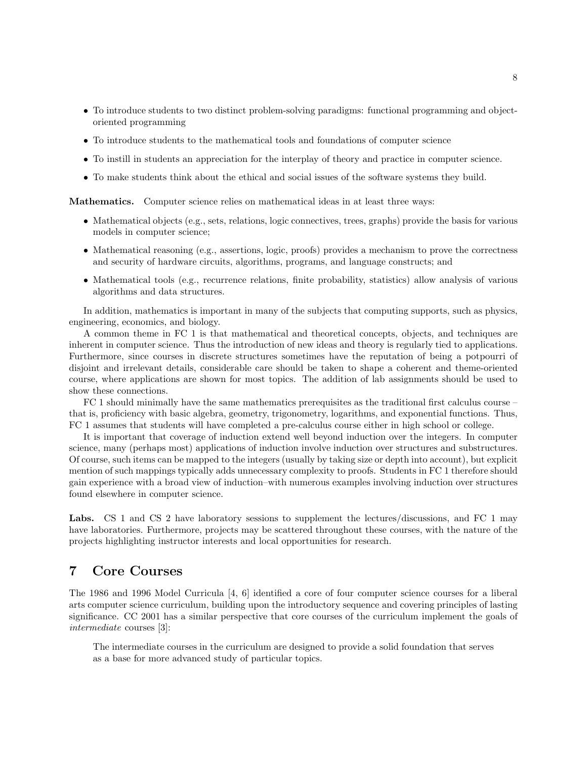- To introduce students to two distinct problem-solving paradigms: functional programming and objectoriented programming
- To introduce students to the mathematical tools and foundations of computer science
- To instill in students an appreciation for the interplay of theory and practice in computer science.
- To make students think about the ethical and social issues of the software systems they build.

Mathematics. Computer science relies on mathematical ideas in at least three ways:

- Mathematical objects (e.g., sets, relations, logic connectives, trees, graphs) provide the basis for various models in computer science;
- Mathematical reasoning (e.g., assertions, logic, proofs) provides a mechanism to prove the correctness and security of hardware circuits, algorithms, programs, and language constructs; and
- Mathematical tools (e.g., recurrence relations, finite probability, statistics) allow analysis of various algorithms and data structures.

In addition, mathematics is important in many of the subjects that computing supports, such as physics, engineering, economics, and biology.

A common theme in FC 1 is that mathematical and theoretical concepts, objects, and techniques are inherent in computer science. Thus the introduction of new ideas and theory is regularly tied to applications. Furthermore, since courses in discrete structures sometimes have the reputation of being a potpourri of disjoint and irrelevant details, considerable care should be taken to shape a coherent and theme-oriented course, where applications are shown for most topics. The addition of lab assignments should be used to show these connections.

FC 1 should minimally have the same mathematics prerequisites as the traditional first calculus course – that is, proficiency with basic algebra, geometry, trigonometry, logarithms, and exponential functions. Thus, FC 1 assumes that students will have completed a pre-calculus course either in high school or college.

It is important that coverage of induction extend well beyond induction over the integers. In computer science, many (perhaps most) applications of induction involve induction over structures and substructures. Of course, such items can be mapped to the integers (usually by taking size or depth into account), but explicit mention of such mappings typically adds unnecessary complexity to proofs. Students in FC 1 therefore should gain experience with a broad view of induction–with numerous examples involving induction over structures found elsewhere in computer science.

Labs. CS 1 and CS 2 have laboratory sessions to supplement the lectures/discussions, and FC 1 may have laboratories. Furthermore, projects may be scattered throughout these courses, with the nature of the projects highlighting instructor interests and local opportunities for research.

# 7 Core Courses

The 1986 and 1996 Model Curricula [4, 6] identified a core of four computer science courses for a liberal arts computer science curriculum, building upon the introductory sequence and covering principles of lasting significance. CC 2001 has a similar perspective that core courses of the curriculum implement the goals of intermediate courses [3]:

The intermediate courses in the curriculum are designed to provide a solid foundation that serves as a base for more advanced study of particular topics.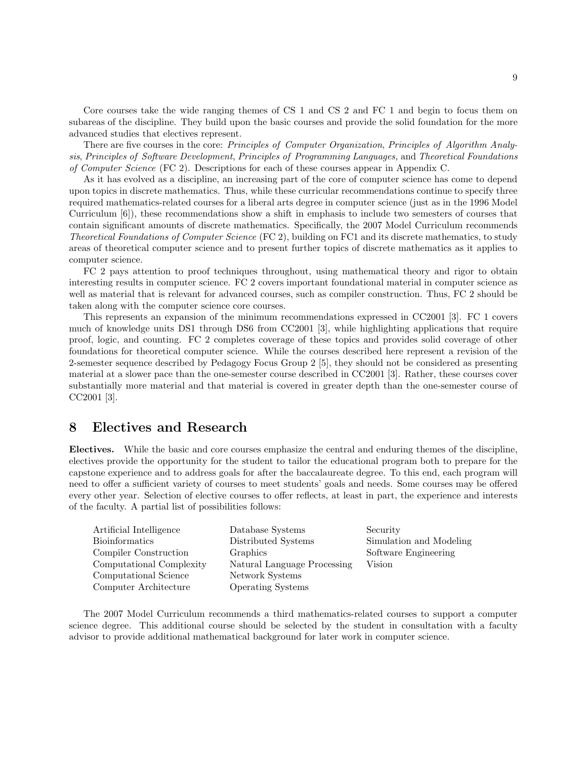Core courses take the wide ranging themes of CS 1 and CS 2 and FC 1 and begin to focus them on subareas of the discipline. They build upon the basic courses and provide the solid foundation for the more advanced studies that electives represent.

There are five courses in the core: Principles of Computer Organization, Principles of Algorithm Analysis, Principles of Software Development, Principles of Programming Languages, and Theoretical Foundations of Computer Science (FC 2). Descriptions for each of these courses appear in Appendix C.

As it has evolved as a discipline, an increasing part of the core of computer science has come to depend upon topics in discrete mathematics. Thus, while these curricular recommendations continue to specify three required mathematics-related courses for a liberal arts degree in computer science (just as in the 1996 Model Curriculum [6]), these recommendations show a shift in emphasis to include two semesters of courses that contain significant amounts of discrete mathematics. Specifically, the 2007 Model Curriculum recommends Theoretical Foundations of Computer Science (FC 2), building on FC1 and its discrete mathematics, to study areas of theoretical computer science and to present further topics of discrete mathematics as it applies to computer science.

FC 2 pays attention to proof techniques throughout, using mathematical theory and rigor to obtain interesting results in computer science. FC 2 covers important foundational material in computer science as well as material that is relevant for advanced courses, such as compiler construction. Thus, FC 2 should be taken along with the computer science core courses.

This represents an expansion of the minimum recommendations expressed in CC2001 [3]. FC 1 covers much of knowledge units DS1 through DS6 from CC2001 [3], while highlighting applications that require proof, logic, and counting. FC 2 completes coverage of these topics and provides solid coverage of other foundations for theoretical computer science. While the courses described here represent a revision of the 2-semester sequence described by Pedagogy Focus Group 2 [5], they should not be considered as presenting material at a slower pace than the one-semester course described in CC2001 [3]. Rather, these courses cover substantially more material and that material is covered in greater depth than the one-semester course of CC2001 [3].

# 8 Electives and Research

Electives. While the basic and core courses emphasize the central and enduring themes of the discipline, electives provide the opportunity for the student to tailor the educational program both to prepare for the capstone experience and to address goals for after the baccalaureate degree. To this end, each program will need to offer a sufficient variety of courses to meet students' goals and needs. Some courses may be offered every other year. Selection of elective courses to offer reflects, at least in part, the experience and interests of the faculty. A partial list of possibilities follows:

| Artificial Intelligence  | Database Systems            | Security                |
|--------------------------|-----------------------------|-------------------------|
| <b>Bioinformatics</b>    | Distributed Systems         | Simulation and Modeling |
| Compiler Construction    | <b>Graphics</b>             | Software Engineering    |
| Computational Complexity | Natural Language Processing | Vision                  |
| Computational Science    | Network Systems             |                         |
| Computer Architecture    | <b>Operating Systems</b>    |                         |

The 2007 Model Curriculum recommends a third mathematics-related courses to support a computer science degree. This additional course should be selected by the student in consultation with a faculty advisor to provide additional mathematical background for later work in computer science.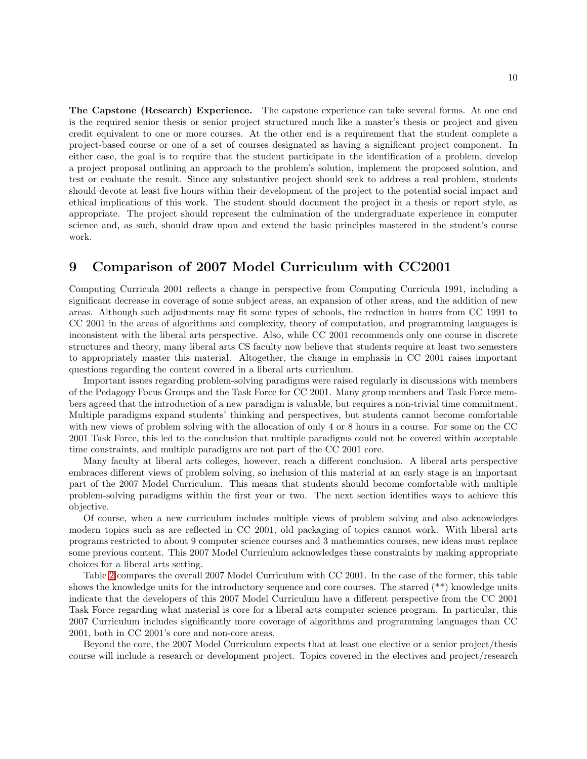The Capstone (Research) Experience. The capstone experience can take several forms. At one end is the required senior thesis or senior project structured much like a master's thesis or project and given credit equivalent to one or more courses. At the other end is a requirement that the student complete a project-based course or one of a set of courses designated as having a significant project component. In either case, the goal is to require that the student participate in the identification of a problem, develop a project proposal outlining an approach to the problem's solution, implement the proposed solution, and test or evaluate the result. Since any substantive project should seek to address a real problem, students should devote at least five hours within their development of the project to the potential social impact and ethical implications of this work. The student should document the project in a thesis or report style, as appropriate. The project should represent the culmination of the undergraduate experience in computer science and, as such, should draw upon and extend the basic principles mastered in the student's course work.

# 9 Comparison of 2007 Model Curriculum with CC2001

Computing Curricula 2001 reflects a change in perspective from Computing Curricula 1991, including a significant decrease in coverage of some subject areas, an expansion of other areas, and the addition of new areas. Although such adjustments may fit some types of schools, the reduction in hours from CC 1991 to CC 2001 in the areas of algorithms and complexity, theory of computation, and programming languages is inconsistent with the liberal arts perspective. Also, while CC 2001 recommends only one course in discrete structures and theory, many liberal arts CS faculty now believe that students require at least two semesters to appropriately master this material. Altogether, the change in emphasis in CC 2001 raises important questions regarding the content covered in a liberal arts curriculum.

Important issues regarding problem-solving paradigms were raised regularly in discussions with members of the Pedagogy Focus Groups and the Task Force for CC 2001. Many group members and Task Force members agreed that the introduction of a new paradigm is valuable, but requires a non-trivial time commitment. Multiple paradigms expand students' thinking and perspectives, but students cannot become comfortable with new views of problem solving with the allocation of only 4 or 8 hours in a course. For some on the CC 2001 Task Force, this led to the conclusion that multiple paradigms could not be covered within acceptable time constraints, and multiple paradigms are not part of the CC 2001 core.

Many faculty at liberal arts colleges, however, reach a different conclusion. A liberal arts perspective embraces different views of problem solving, so inclusion of this material at an early stage is an important part of the 2007 Model Curriculum. This means that students should become comfortable with multiple problem-solving paradigms within the first year or two. The next section identifies ways to achieve this objective.

Of course, when a new curriculum includes multiple views of problem solving and also acknowledges modern topics such as are reflected in CC 2001, old packaging of topics cannot work. With liberal arts programs restricted to about 9 computer science courses and 3 mathematics courses, new ideas must replace some previous content. This 2007 Model Curriculum acknowledges these constraints by making appropriate choices for a liberal arts setting.

Table [2](#page-10-0) compares the overall 2007 Model Curriculum with CC 2001. In the case of the former, this table shows the knowledge units for the introductory sequence and core courses. The starred (\*\*) knowledge units indicate that the developers of this 2007 Model Curriculum have a different perspective from the CC 2001 Task Force regarding what material is core for a liberal arts computer science program. In particular, this 2007 Curriculum includes significantly more coverage of algorithms and programming languages than CC 2001, both in CC 2001's core and non-core areas.

Beyond the core, the 2007 Model Curriculum expects that at least one elective or a senior project/thesis course will include a research or development project. Topics covered in the electives and project/research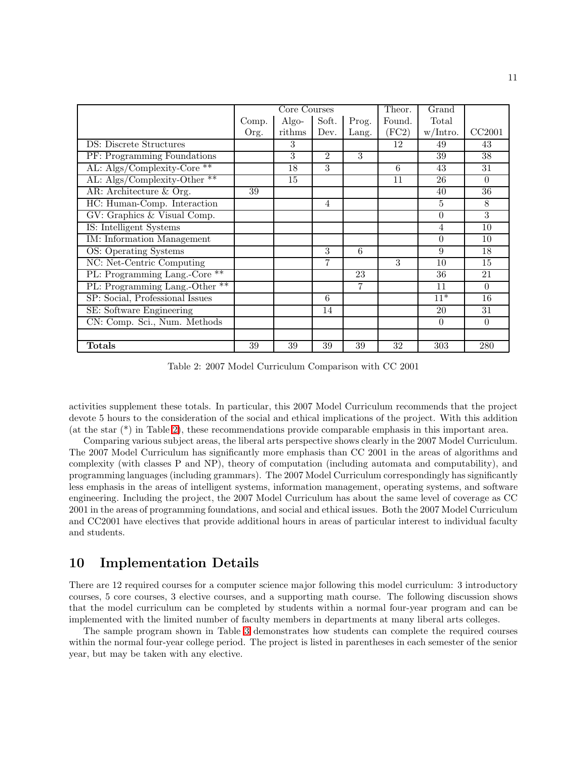|                                          | Core Courses |         |                | Theor. | Grand  |          |          |
|------------------------------------------|--------------|---------|----------------|--------|--------|----------|----------|
|                                          | Comp.        | $Algo-$ | Soft.          | Prog.  | Found. | Total    |          |
|                                          | Org.         | rithms  | Dev.           | Lang.  | (FC2)  | w/Intro. | CC2001   |
| <b>DS:</b> Discrete Structures           |              | 3       |                |        | 12     | 49       | 43       |
| PF: Programming Foundations              |              | 3       | $\overline{2}$ | 3      |        | 39       | 38       |
| AL: Algs/Complexity-Core <sup>**</sup>   |              | 18      | 3              |        | 6      | 43       | 31       |
| AL: Algs/Complexity-Other **             |              | 15      |                |        | 11     | 26       | $\Omega$ |
| AR: Architecture & Org.                  | 39           |         |                |        |        | 40       | 36       |
| HC: Human-Comp. Interaction              |              |         | $\overline{4}$ |        |        | 5        | 8        |
| $\overline{GV: Graphics}$ & Visual Comp. |              |         |                |        |        | $\theta$ | 3        |
| IS: Intelligent Systems                  |              |         |                |        |        | 4        | 10       |
| IM: Information Management               |              |         |                |        |        | $\theta$ | 10       |
| OS: Operating Systems                    |              |         | $\overline{3}$ | 6      |        | 9        | 18       |
| NC: Net-Centric Computing                |              |         | $\overline{7}$ |        | 3      | 10       | 15       |
| PL: Programming Lang.-Core <sup>**</sup> |              |         |                | 23     |        | 36       | 21       |
| PL: Programming Lang.-Other **           |              |         |                | 7      |        | 11       | $\Omega$ |
| SP: Social, Professional Issues          |              |         | 6              |        |        | $11*$    | 16       |
| <b>SE:</b> Software Engineering          |              |         | 14             |        |        | 20       | 31       |
| CN: Comp. Sci., Num. Methods             |              |         |                |        |        | $\theta$ | $\theta$ |
|                                          |              |         |                |        |        |          |          |
| Totals                                   | 39           | 39      | 39             | 39     | 32     | 303      | 280      |

<span id="page-10-0"></span>Table 2: 2007 Model Curriculum Comparison with CC 2001

activities supplement these totals. In particular, this 2007 Model Curriculum recommends that the project devote 5 hours to the consideration of the social and ethical implications of the project. With this addition (at the star (\*) in Table [2\)](#page-10-0), these recommendations provide comparable emphasis in this important area.

Comparing various subject areas, the liberal arts perspective shows clearly in the 2007 Model Curriculum. The 2007 Model Curriculum has significantly more emphasis than CC 2001 in the areas of algorithms and complexity (with classes P and NP), theory of computation (including automata and computability), and programming languages (including grammars). The 2007 Model Curriculum correspondingly has significantly less emphasis in the areas of intelligent systems, information management, operating systems, and software engineering. Including the project, the 2007 Model Curriculum has about the same level of coverage as CC 2001 in the areas of programming foundations, and social and ethical issues. Both the 2007 Model Curriculum and CC2001 have electives that provide additional hours in areas of particular interest to individual faculty and students.

# 10 Implementation Details

There are 12 required courses for a computer science major following this model curriculum: 3 introductory courses, 5 core courses, 3 elective courses, and a supporting math course. The following discussion shows that the model curriculum can be completed by students within a normal four-year program and can be implemented with the limited number of faculty members in departments at many liberal arts colleges.

The sample program shown in Table [3](#page-11-0) demonstrates how students can complete the required courses within the normal four-year college period. The project is listed in parentheses in each semester of the senior year, but may be taken with any elective.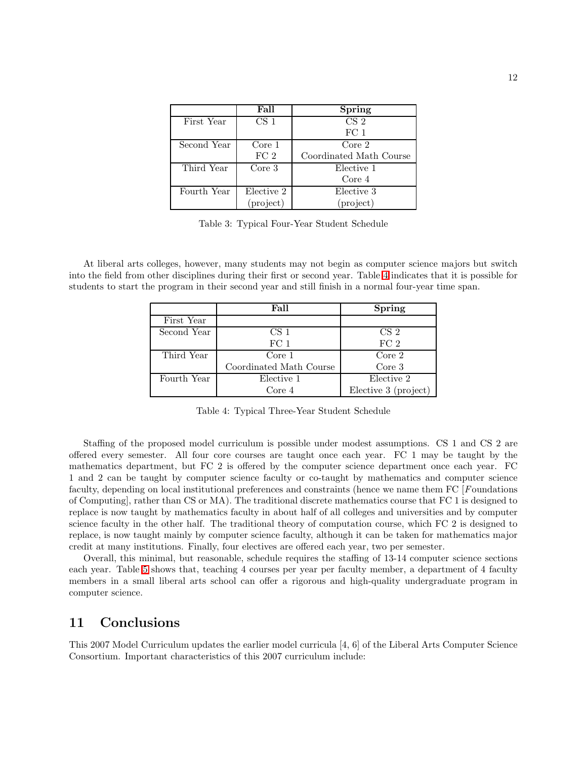|             | Fall               | Spring                  |
|-------------|--------------------|-------------------------|
| First Year  | CS <sub>1</sub>    | CS <sub>2</sub>         |
|             |                    | FC <sub>1</sub>         |
| Second Year | Core 1             | Core 2                  |
|             | FC <sub>2</sub>    | Coordinated Math Course |
| Third Year  | Core <sub>3</sub>  | Elective 1              |
|             |                    | Core 4                  |
| Fourth Year | Elective 2         | Elective 3              |
|             | $(\text{project})$ | $(\text{project})$      |

<span id="page-11-0"></span>Table 3: Typical Four-Year Student Schedule

At liberal arts colleges, however, many students may not begin as computer science majors but switch into the field from other disciplines during their first or second year. Table [4](#page-11-1) indicates that it is possible for students to start the program in their second year and still finish in a normal four-year time span.

|             | Fall                    | Spring               |
|-------------|-------------------------|----------------------|
| First Year  |                         |                      |
| Second Year | CS <sub>1</sub>         | CS <sub>2</sub>      |
|             | FC <sub>1</sub>         | FC <sub>2</sub>      |
| Third Year  | Core 1                  | Core 2               |
|             | Coordinated Math Course | Core 3               |
| Fourth Year | Elective 1              | Elective 2           |
|             | Core 4                  | Elective 3 (project) |

<span id="page-11-1"></span>Table 4: Typical Three-Year Student Schedule

Staffing of the proposed model curriculum is possible under modest assumptions. CS 1 and CS 2 are offered every semester. All four core courses are taught once each year. FC 1 may be taught by the mathematics department, but FC 2 is offered by the computer science department once each year. FC 1 and 2 can be taught by computer science faculty or co-taught by mathematics and computer science faculty, depending on local institutional preferences and constraints (hence we name them FC [Foundations of Computing], rather than CS or MA). The traditional discrete mathematics course that FC 1 is designed to replace is now taught by mathematics faculty in about half of all colleges and universities and by computer science faculty in the other half. The traditional theory of computation course, which FC 2 is designed to replace, is now taught mainly by computer science faculty, although it can be taken for mathematics major credit at many institutions. Finally, four electives are offered each year, two per semester.

Overall, this minimal, but reasonable, schedule requires the staffing of 13-14 computer science sections each year. Table [5](#page-12-0) shows that, teaching 4 courses per year per faculty member, a department of 4 faculty members in a small liberal arts school can offer a rigorous and high-quality undergraduate program in computer science.

# 11 Conclusions

This 2007 Model Curriculum updates the earlier model curricula [4, 6] of the Liberal Arts Computer Science Consortium. Important characteristics of this 2007 curriculum include: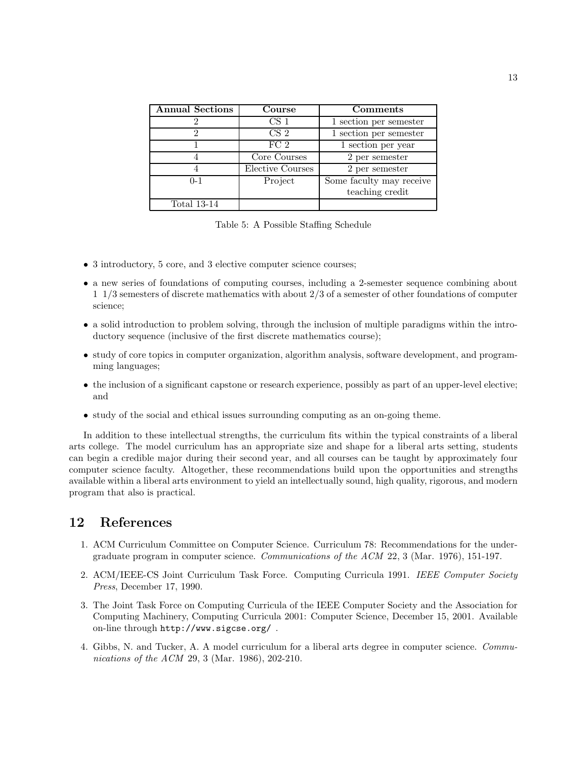| <b>Annual Sections</b> | Course           | Comments                 |
|------------------------|------------------|--------------------------|
|                        | CS <sub>1</sub>  | 1 section per semester   |
|                        | CS <sub>2</sub>  | 1 section per semester   |
|                        | FC <sub>2</sub>  | 1 section per year       |
| 4                      | Core Courses     | 2 per semester           |
|                        | Elective Courses | 2 per semester           |
| $0 - 1$                | Project          | Some faculty may receive |
|                        |                  | teaching credit          |
| Total 13-14            |                  |                          |

<span id="page-12-0"></span>Table 5: A Possible Staffing Schedule

- 3 introductory, 5 core, and 3 elective computer science courses;
- a new series of foundations of computing courses, including a 2-semester sequence combining about 1 1/3 semesters of discrete mathematics with about 2/3 of a semester of other foundations of computer science;
- a solid introduction to problem solving, through the inclusion of multiple paradigms within the introductory sequence (inclusive of the first discrete mathematics course);
- study of core topics in computer organization, algorithm analysis, software development, and programming languages;
- the inclusion of a significant capstone or research experience, possibly as part of an upper-level elective; and
- study of the social and ethical issues surrounding computing as an on-going theme.

In addition to these intellectual strengths, the curriculum fits within the typical constraints of a liberal arts college. The model curriculum has an appropriate size and shape for a liberal arts setting, students can begin a credible major during their second year, and all courses can be taught by approximately four computer science faculty. Altogether, these recommendations build upon the opportunities and strengths available within a liberal arts environment to yield an intellectually sound, high quality, rigorous, and modern program that also is practical.

# 12 References

- 1. ACM Curriculum Committee on Computer Science. Curriculum 78: Recommendations for the undergraduate program in computer science. Communications of the ACM 22, 3 (Mar. 1976), 151-197.
- 2. ACM/IEEE-CS Joint Curriculum Task Force. Computing Curricula 1991. IEEE Computer Society Press, December 17, 1990.
- 3. The Joint Task Force on Computing Curricula of the IEEE Computer Society and the Association for Computing Machinery, Computing Curricula 2001: Computer Science, December 15, 2001. Available on-line through http://www.sigcse.org/ .
- 4. Gibbs, N. and Tucker, A. A model curriculum for a liberal arts degree in computer science. Communications of the ACM 29, 3 (Mar. 1986), 202-210.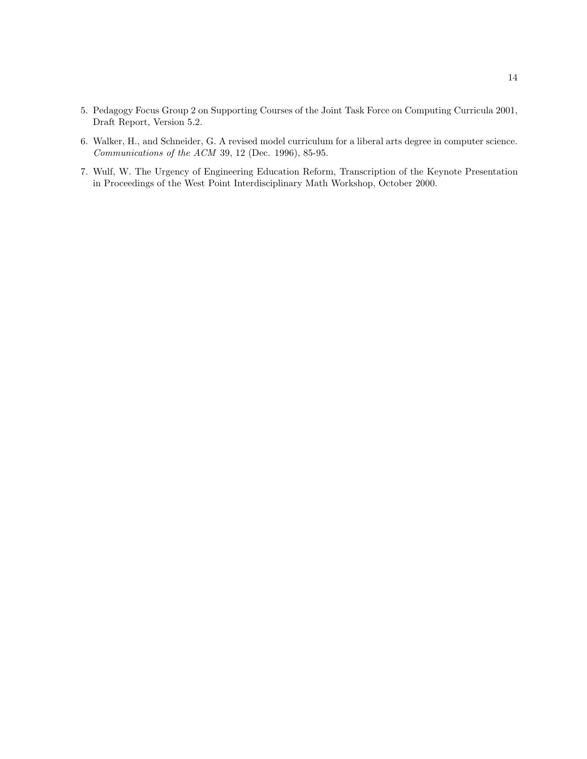- 5. Pedagogy Focus Group 2 on Supporting Courses of the Joint Task Force on Computing Curricula 2001, Draft Report, Version 5.2.
- 6. Walker, H., and Schneider, G. A revised model curriculum for a liberal arts degree in computer science. Communications of the ACM 39, 12 (Dec. 1996), 85-95.
- 7. Wulf, W. The Urgency of Engineering Education Reform, Transcription of the Keynote Presentation in Proceedings of the West Point Interdisciplinary Math Workshop, October 2000.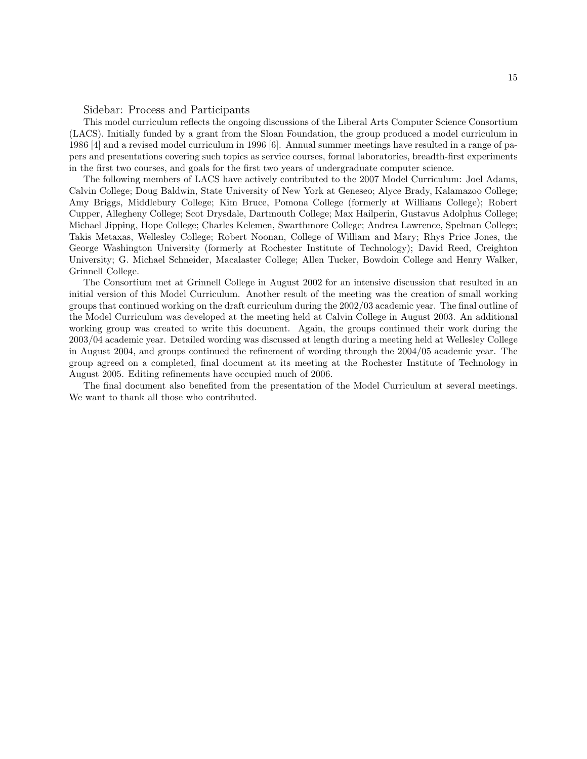### Sidebar: Process and Participants

This model curriculum reflects the ongoing discussions of the Liberal Arts Computer Science Consortium (LACS). Initially funded by a grant from the Sloan Foundation, the group produced a model curriculum in 1986 [4] and a revised model curriculum in 1996 [6]. Annual summer meetings have resulted in a range of papers and presentations covering such topics as service courses, formal laboratories, breadth-first experiments in the first two courses, and goals for the first two years of undergraduate computer science.

The following members of LACS have actively contributed to the 2007 Model Curriculum: Joel Adams, Calvin College; Doug Baldwin, State University of New York at Geneseo; Alyce Brady, Kalamazoo College; Amy Briggs, Middlebury College; Kim Bruce, Pomona College (formerly at Williams College); Robert Cupper, Allegheny College; Scot Drysdale, Dartmouth College; Max Hailperin, Gustavus Adolphus College; Michael Jipping, Hope College; Charles Kelemen, Swarthmore College; Andrea Lawrence, Spelman College; Takis Metaxas, Wellesley College; Robert Noonan, College of William and Mary; Rhys Price Jones, the George Washington University (formerly at Rochester Institute of Technology); David Reed, Creighton University; G. Michael Schneider, Macalaster College; Allen Tucker, Bowdoin College and Henry Walker, Grinnell College.

The Consortium met at Grinnell College in August 2002 for an intensive discussion that resulted in an initial version of this Model Curriculum. Another result of the meeting was the creation of small working groups that continued working on the draft curriculum during the 2002/03 academic year. The final outline of the Model Curriculum was developed at the meeting held at Calvin College in August 2003. An additional working group was created to write this document. Again, the groups continued their work during the 2003/04 academic year. Detailed wording was discussed at length during a meeting held at Wellesley College in August 2004, and groups continued the refinement of wording through the 2004/05 academic year. The group agreed on a completed, final document at its meeting at the Rochester Institute of Technology in August 2005. Editing refinements have occupied much of 2006.

The final document also benefited from the presentation of the Model Curriculum at several meetings. We want to thank all those who contributed.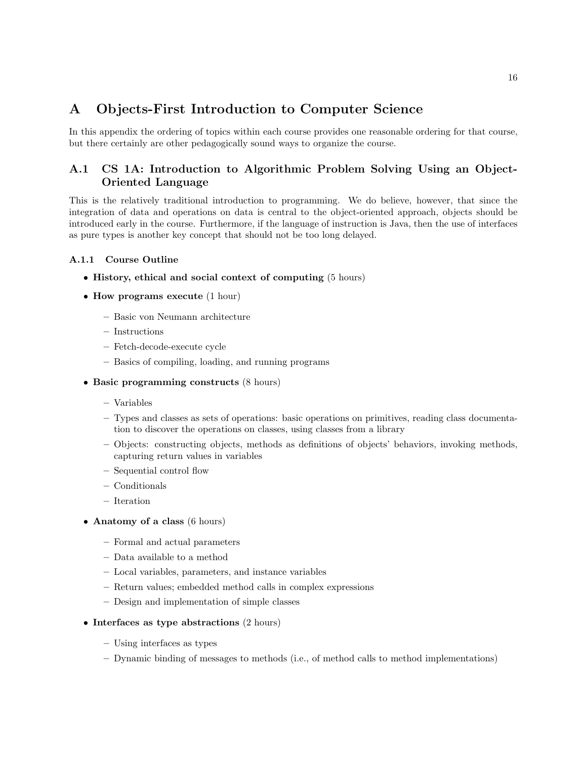# A Objects-First Introduction to Computer Science

In this appendix the ordering of topics within each course provides one reasonable ordering for that course, but there certainly are other pedagogically sound ways to organize the course.

# A.1 CS 1A: Introduction to Algorithmic Problem Solving Using an Object-Oriented Language

This is the relatively traditional introduction to programming. We do believe, however, that since the integration of data and operations on data is central to the object-oriented approach, objects should be introduced early in the course. Furthermore, if the language of instruction is Java, then the use of interfaces as pure types is another key concept that should not be too long delayed.

### A.1.1 Course Outline

- History, ethical and social context of computing (5 hours)
- How programs execute (1 hour)
	- Basic von Neumann architecture
	- Instructions
	- Fetch-decode-execute cycle
	- Basics of compiling, loading, and running programs
- Basic programming constructs (8 hours)
	- Variables
	- Types and classes as sets of operations: basic operations on primitives, reading class documentation to discover the operations on classes, using classes from a library
	- Objects: constructing objects, methods as definitions of objects' behaviors, invoking methods, capturing return values in variables
	- Sequential control flow
	- Conditionals
	- Iteration
- Anatomy of a class (6 hours)
	- Formal and actual parameters
	- Data available to a method
	- Local variables, parameters, and instance variables
	- Return values; embedded method calls in complex expressions
	- Design and implementation of simple classes
- Interfaces as type abstractions (2 hours)
	- Using interfaces as types
	- Dynamic binding of messages to methods (i.e., of method calls to method implementations)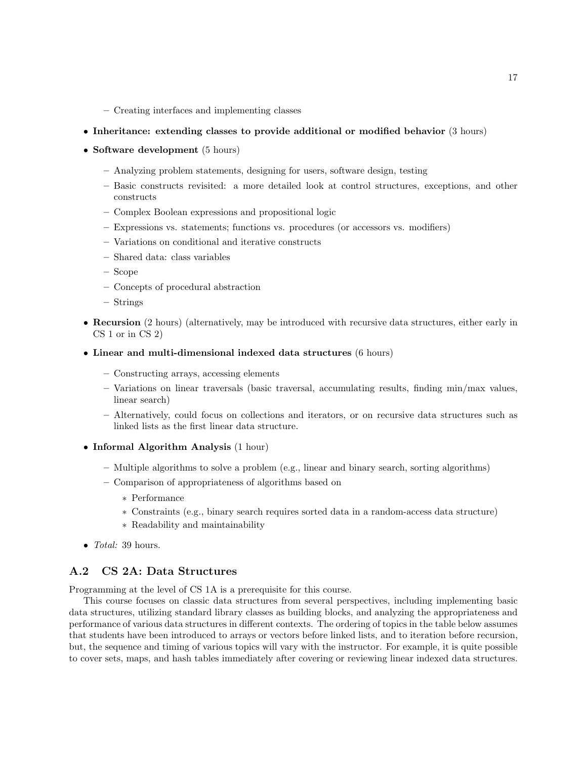- Creating interfaces and implementing classes
- Inheritance: extending classes to provide additional or modified behavior (3 hours)
- Software development (5 hours)
	- Analyzing problem statements, designing for users, software design, testing
	- Basic constructs revisited: a more detailed look at control structures, exceptions, and other constructs
	- Complex Boolean expressions and propositional logic
	- Expressions vs. statements; functions vs. procedures (or accessors vs. modifiers)
	- Variations on conditional and iterative constructs
	- Shared data: class variables
	- Scope
	- Concepts of procedural abstraction
	- Strings
- Recursion (2 hours) (alternatively, may be introduced with recursive data structures, either early in CS 1 or in CS 2)
- Linear and multi-dimensional indexed data structures (6 hours)
	- Constructing arrays, accessing elements
	- Variations on linear traversals (basic traversal, accumulating results, finding min/max values, linear search)
	- Alternatively, could focus on collections and iterators, or on recursive data structures such as linked lists as the first linear data structure.
- Informal Algorithm Analysis (1 hour)
	- Multiple algorithms to solve a problem (e.g., linear and binary search, sorting algorithms)
	- Comparison of appropriateness of algorithms based on
		- ∗ Performance
		- ∗ Constraints (e.g., binary search requires sorted data in a random-access data structure)
		- ∗ Readability and maintainability
- Total: 39 hours.

# A.2 CS 2A: Data Structures

Programming at the level of CS 1A is a prerequisite for this course.

This course focuses on classic data structures from several perspectives, including implementing basic data structures, utilizing standard library classes as building blocks, and analyzing the appropriateness and performance of various data structures in different contexts. The ordering of topics in the table below assumes that students have been introduced to arrays or vectors before linked lists, and to iteration before recursion, but, the sequence and timing of various topics will vary with the instructor. For example, it is quite possible to cover sets, maps, and hash tables immediately after covering or reviewing linear indexed data structures.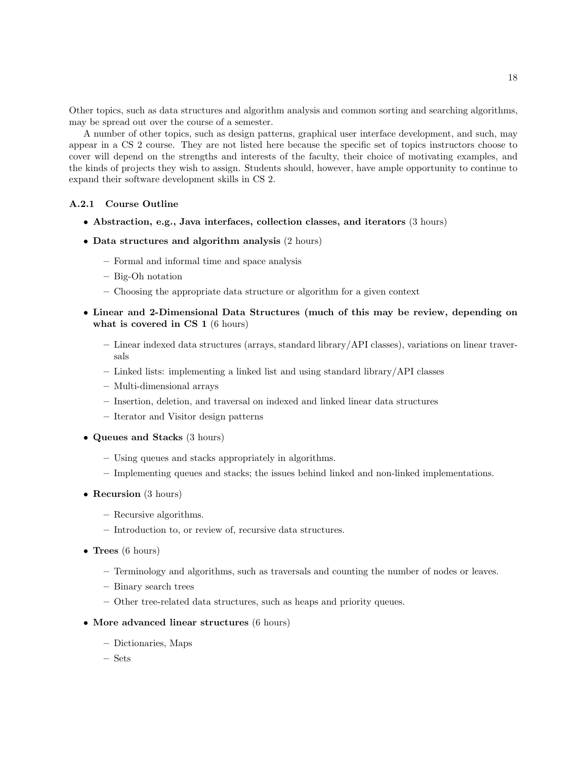Other topics, such as data structures and algorithm analysis and common sorting and searching algorithms, may be spread out over the course of a semester.

A number of other topics, such as design patterns, graphical user interface development, and such, may appear in a CS 2 course. They are not listed here because the specific set of topics instructors choose to cover will depend on the strengths and interests of the faculty, their choice of motivating examples, and the kinds of projects they wish to assign. Students should, however, have ample opportunity to continue to expand their software development skills in CS 2.

#### A.2.1 Course Outline

- Abstraction, e.g., Java interfaces, collection classes, and iterators (3 hours)
- Data structures and algorithm analysis (2 hours)
	- Formal and informal time and space analysis
	- Big-Oh notation
	- Choosing the appropriate data structure or algorithm for a given context
- Linear and 2-Dimensional Data Structures (much of this may be review, depending on what is covered in CS 1 (6 hours)
	- Linear indexed data structures (arrays, standard library/API classes), variations on linear traversals
	- Linked lists: implementing a linked list and using standard library/API classes
	- Multi-dimensional arrays
	- Insertion, deletion, and traversal on indexed and linked linear data structures
	- Iterator and Visitor design patterns
- Queues and Stacks (3 hours)
	- Using queues and stacks appropriately in algorithms.
	- Implementing queues and stacks; the issues behind linked and non-linked implementations.
- Recursion (3 hours)
	- Recursive algorithms.
	- Introduction to, or review of, recursive data structures.
- Trees  $(6 \text{ hours})$ 
	- Terminology and algorithms, such as traversals and counting the number of nodes or leaves.
	- Binary search trees
	- Other tree-related data structures, such as heaps and priority queues.
- More advanced linear structures (6 hours)
	- Dictionaries, Maps
	- Sets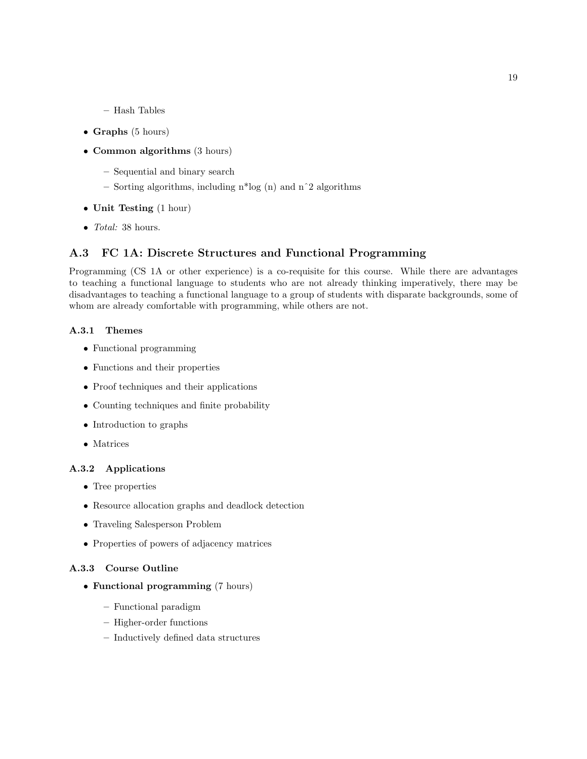- Hash Tables
- Graphs (5 hours)
- Common algorithms (3 hours)
	- Sequential and binary search
	- Sorting algorithms, including n\*log (n) and nˆ2 algorithms
- Unit Testing (1 hour)
- Total: 38 hours.

### A.3 FC 1A: Discrete Structures and Functional Programming

Programming (CS 1A or other experience) is a co-requisite for this course. While there are advantages to teaching a functional language to students who are not already thinking imperatively, there may be disadvantages to teaching a functional language to a group of students with disparate backgrounds, some of whom are already comfortable with programming, while others are not.

### A.3.1 Themes

- Functional programming
- Functions and their properties
- Proof techniques and their applications
- Counting techniques and finite probability
- Introduction to graphs
- Matrices

### A.3.2 Applications

- Tree properties
- Resource allocation graphs and deadlock detection
- Traveling Salesperson Problem
- Properties of powers of adjacency matrices

### A.3.3 Course Outline

- Functional programming (7 hours)
	- Functional paradigm
	- Higher-order functions
	- Inductively defined data structures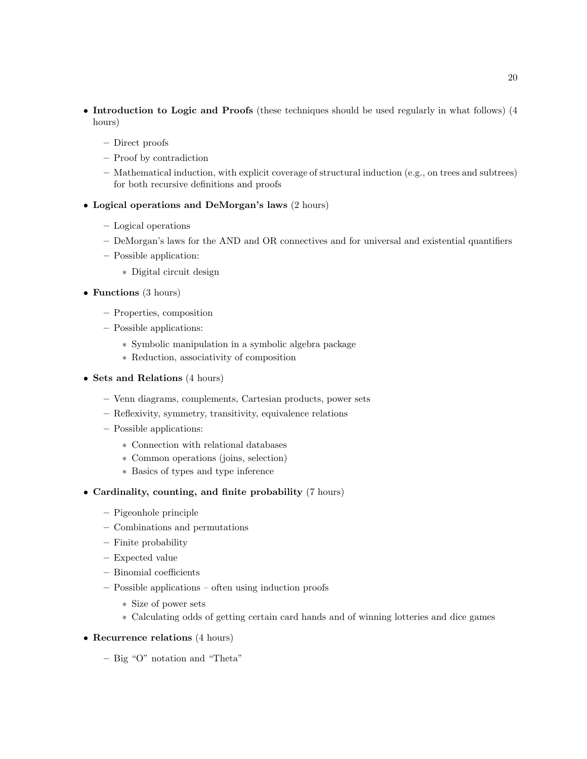- Introduction to Logic and Proofs (these techniques should be used regularly in what follows) (4 hours)
	- Direct proofs
	- Proof by contradiction
	- Mathematical induction, with explicit coverage of structural induction (e.g., on trees and subtrees) for both recursive definitions and proofs
- Logical operations and DeMorgan's laws (2 hours)
	- Logical operations
	- DeMorgan's laws for the AND and OR connectives and for universal and existential quantifiers
	- Possible application:
		- ∗ Digital circuit design
- Functions (3 hours)
	- Properties, composition
	- Possible applications:
		- ∗ Symbolic manipulation in a symbolic algebra package
		- ∗ Reduction, associativity of composition
- Sets and Relations (4 hours)
	- Venn diagrams, complements, Cartesian products, power sets
	- Reflexivity, symmetry, transitivity, equivalence relations
	- Possible applications:
		- ∗ Connection with relational databases
		- ∗ Common operations (joins, selection)
		- ∗ Basics of types and type inference
- Cardinality, counting, and finite probability (7 hours)
	- Pigeonhole principle
	- Combinations and permutations
	- Finite probability
	- Expected value
	- Binomial coefficients
	- Possible applications often using induction proofs
		- ∗ Size of power sets
		- ∗ Calculating odds of getting certain card hands and of winning lotteries and dice games
- Recurrence relations (4 hours)
	- Big "O" notation and "Theta"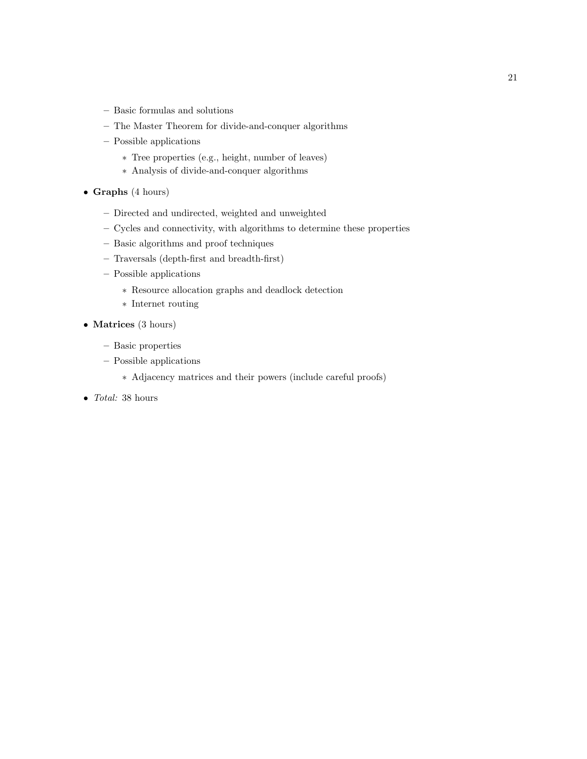- Basic formulas and solutions
- The Master Theorem for divide-and-conquer algorithms
- Possible applications
	- ∗ Tree properties (e.g., height, number of leaves)
	- ∗ Analysis of divide-and-conquer algorithms
- Graphs (4 hours)
	- Directed and undirected, weighted and unweighted
	- Cycles and connectivity, with algorithms to determine these properties
	- Basic algorithms and proof techniques
	- Traversals (depth-first and breadth-first)
	- Possible applications
		- ∗ Resource allocation graphs and deadlock detection
		- ∗ Internet routing
- Matrices (3 hours)
	- Basic properties
	- Possible applications
		- ∗ Adjacency matrices and their powers (include careful proofs)
- Total: 38 hours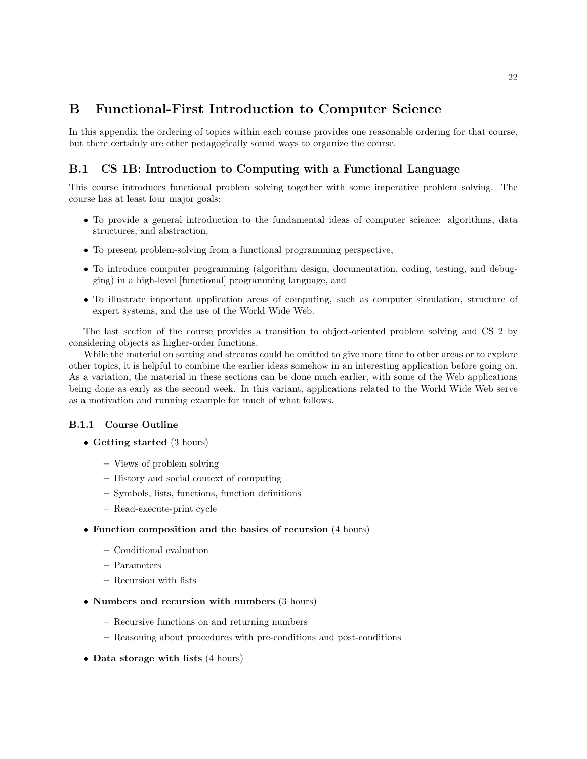# B Functional-First Introduction to Computer Science

In this appendix the ordering of topics within each course provides one reasonable ordering for that course, but there certainly are other pedagogically sound ways to organize the course.

# B.1 CS 1B: Introduction to Computing with a Functional Language

This course introduces functional problem solving together with some imperative problem solving. The course has at least four major goals:

- To provide a general introduction to the fundamental ideas of computer science: algorithms, data structures, and abstraction,
- To present problem-solving from a functional programming perspective,
- To introduce computer programming (algorithm design, documentation, coding, testing, and debugging) in a high-level [functional] programming language, and
- To illustrate important application areas of computing, such as computer simulation, structure of expert systems, and the use of the World Wide Web.

The last section of the course provides a transition to object-oriented problem solving and CS 2 by considering objects as higher-order functions.

While the material on sorting and streams could be omitted to give more time to other areas or to explore other topics, it is helpful to combine the earlier ideas somehow in an interesting application before going on. As a variation, the material in these sections can be done much earlier, with some of the Web applications being done as early as the second week. In this variant, applications related to the World Wide Web serve as a motivation and running example for much of what follows.

### B.1.1 Course Outline

- Getting started (3 hours)
	- Views of problem solving
	- History and social context of computing
	- Symbols, lists, functions, function definitions
	- Read-execute-print cycle
- Function composition and the basics of recursion (4 hours)
	- Conditional evaluation
	- Parameters
	- Recursion with lists
- Numbers and recursion with numbers (3 hours)
	- Recursive functions on and returning numbers
	- Reasoning about procedures with pre-conditions and post-conditions
- Data storage with lists (4 hours)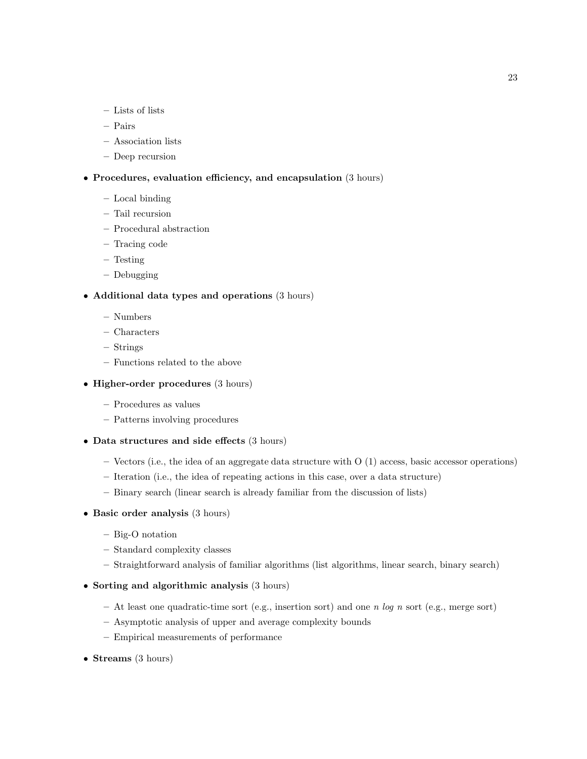- Lists of lists
- Pairs
- Association lists
- Deep recursion
- Procedures, evaluation efficiency, and encapsulation (3 hours)
	- Local binding
	- Tail recursion
	- Procedural abstraction
	- Tracing code
	- Testing
	- Debugging
- Additional data types and operations (3 hours)
	- Numbers
	- Characters
	- Strings
	- Functions related to the above
- Higher-order procedures (3 hours)
	- Procedures as values
	- Patterns involving procedures
- Data structures and side effects (3 hours)
	- Vectors (i.e., the idea of an aggregate data structure with O (1) access, basic accessor operations)
	- Iteration (i.e., the idea of repeating actions in this case, over a data structure)
	- Binary search (linear search is already familiar from the discussion of lists)
- Basic order analysis (3 hours)
	- Big-O notation
	- Standard complexity classes
	- Straightforward analysis of familiar algorithms (list algorithms, linear search, binary search)
- Sorting and algorithmic analysis (3 hours)
	- At least one quadratic-time sort (e.g., insertion sort) and one n log n sort (e.g., merge sort)
	- Asymptotic analysis of upper and average complexity bounds
	- Empirical measurements of performance
- Streams (3 hours)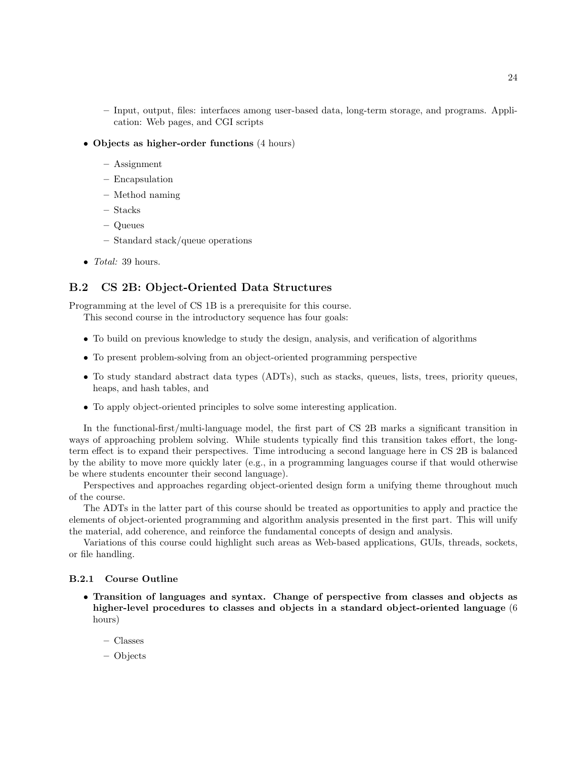- Input, output, files: interfaces among user-based data, long-term storage, and programs. Application: Web pages, and CGI scripts
- Objects as higher-order functions (4 hours)
	- Assignment
	- Encapsulation
	- Method naming
	- Stacks
	- Queues
	- Standard stack/queue operations
- $Total: 39 hours.$

### B.2 CS 2B: Object-Oriented Data Structures

Programming at the level of CS 1B is a prerequisite for this course.

This second course in the introductory sequence has four goals:

- To build on previous knowledge to study the design, analysis, and verification of algorithms
- To present problem-solving from an object-oriented programming perspective
- To study standard abstract data types (ADTs), such as stacks, queues, lists, trees, priority queues, heaps, and hash tables, and
- To apply object-oriented principles to solve some interesting application.

In the functional-first/multi-language model, the first part of CS 2B marks a significant transition in ways of approaching problem solving. While students typically find this transition takes effort, the longterm effect is to expand their perspectives. Time introducing a second language here in CS 2B is balanced by the ability to move more quickly later (e.g., in a programming languages course if that would otherwise be where students encounter their second language).

Perspectives and approaches regarding object-oriented design form a unifying theme throughout much of the course.

The ADTs in the latter part of this course should be treated as opportunities to apply and practice the elements of object-oriented programming and algorithm analysis presented in the first part. This will unify the material, add coherence, and reinforce the fundamental concepts of design and analysis.

Variations of this course could highlight such areas as Web-based applications, GUIs, threads, sockets, or file handling.

#### B.2.1 Course Outline

- Transition of languages and syntax. Change of perspective from classes and objects as higher-level procedures to classes and objects in a standard object-oriented language (6) hours)
	- Classes
	- Objects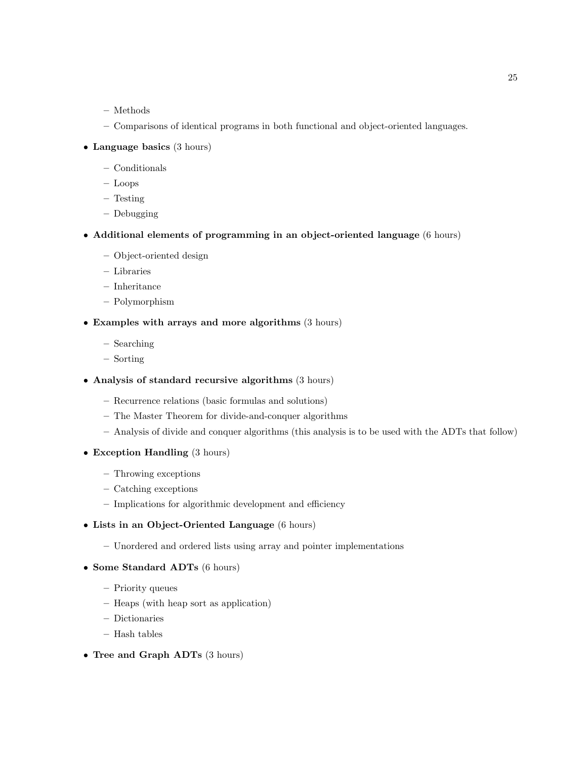- Methods
- Comparisons of identical programs in both functional and object-oriented languages.
- Language basics (3 hours)
	- Conditionals
	- Loops
	- Testing
	- Debugging
- Additional elements of programming in an object-oriented language (6 hours)
	- Object-oriented design
	- Libraries
	- Inheritance
	- Polymorphism
- Examples with arrays and more algorithms (3 hours)
	- Searching
	- Sorting
- Analysis of standard recursive algorithms (3 hours)
	- Recurrence relations (basic formulas and solutions)
	- The Master Theorem for divide-and-conquer algorithms
	- Analysis of divide and conquer algorithms (this analysis is to be used with the ADTs that follow)
- Exception Handling (3 hours)
	- Throwing exceptions
	- Catching exceptions
	- Implications for algorithmic development and efficiency
- Lists in an Object-Oriented Language (6 hours)
	- Unordered and ordered lists using array and pointer implementations
- Some Standard ADTs (6 hours)
	- Priority queues
	- Heaps (with heap sort as application)
	- Dictionaries
	- Hash tables
- Tree and Graph ADTs (3 hours)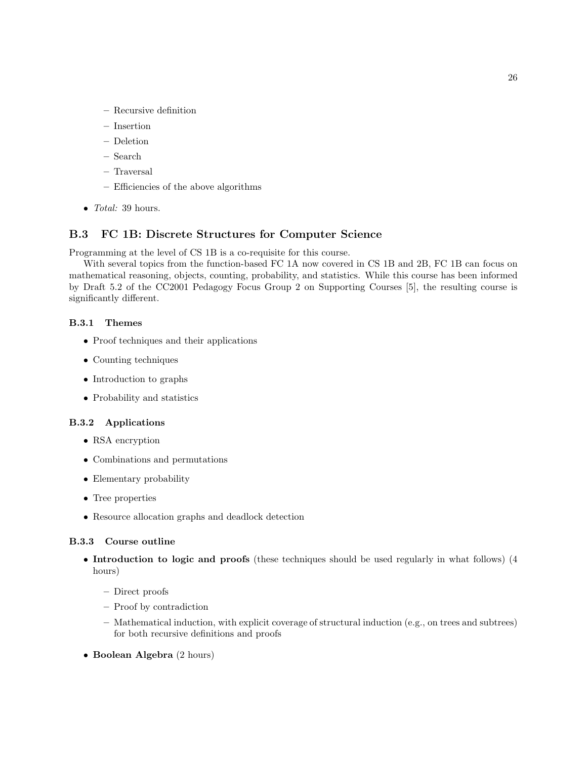- Recursive definition
- Insertion
- Deletion
- Search
- Traversal
- Efficiencies of the above algorithms
- Total: 39 hours.

## B.3 FC 1B: Discrete Structures for Computer Science

Programming at the level of CS 1B is a co-requisite for this course.

With several topics from the function-based FC 1A now covered in CS 1B and 2B, FC 1B can focus on mathematical reasoning, objects, counting, probability, and statistics. While this course has been informed by Draft 5.2 of the CC2001 Pedagogy Focus Group 2 on Supporting Courses [5], the resulting course is significantly different.

#### B.3.1 Themes

- Proof techniques and their applications
- Counting techniques
- Introduction to graphs
- Probability and statistics

### B.3.2 Applications

- RSA encryption
- Combinations and permutations
- Elementary probability
- Tree properties
- Resource allocation graphs and deadlock detection

### B.3.3 Course outline

- Introduction to logic and proofs (these techniques should be used regularly in what follows) (4 hours)
	- Direct proofs
	- Proof by contradiction
	- Mathematical induction, with explicit coverage of structural induction (e.g., on trees and subtrees) for both recursive definitions and proofs
- Boolean Algebra (2 hours)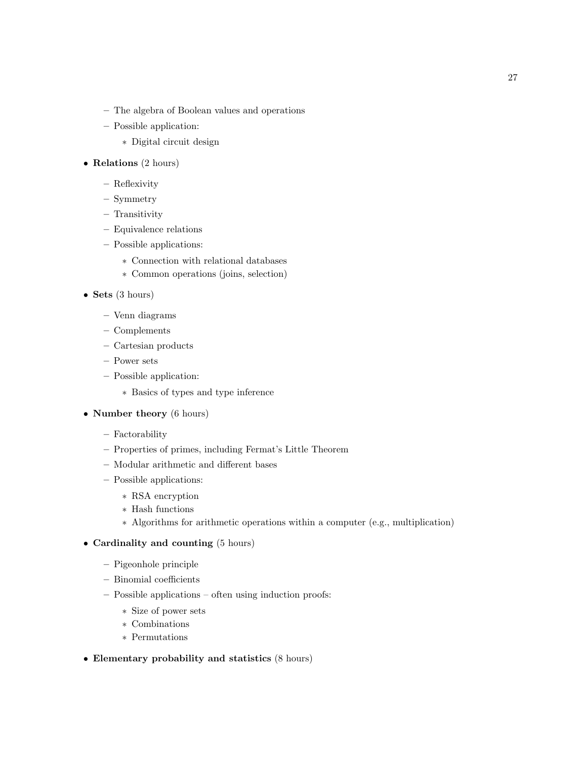- The algebra of Boolean values and operations
- Possible application:
	- ∗ Digital circuit design
- Relations (2 hours)
	- Reflexivity
	- Symmetry
	- Transitivity
	- Equivalence relations
	- Possible applications:
		- ∗ Connection with relational databases
		- ∗ Common operations (joins, selection)
- Sets (3 hours)
	- Venn diagrams
	- Complements
	- Cartesian products
	- Power sets
	- Possible application:
		- ∗ Basics of types and type inference
- Number theory (6 hours)
	- Factorability
	- Properties of primes, including Fermat's Little Theorem
	- Modular arithmetic and different bases
	- Possible applications:
		- ∗ RSA encryption
		- ∗ Hash functions
		- ∗ Algorithms for arithmetic operations within a computer (e.g., multiplication)
- Cardinality and counting (5 hours)
	- Pigeonhole principle
	- Binomial coefficients
	- Possible applications often using induction proofs:
		- ∗ Size of power sets
		- ∗ Combinations
		- ∗ Permutations
- Elementary probability and statistics (8 hours)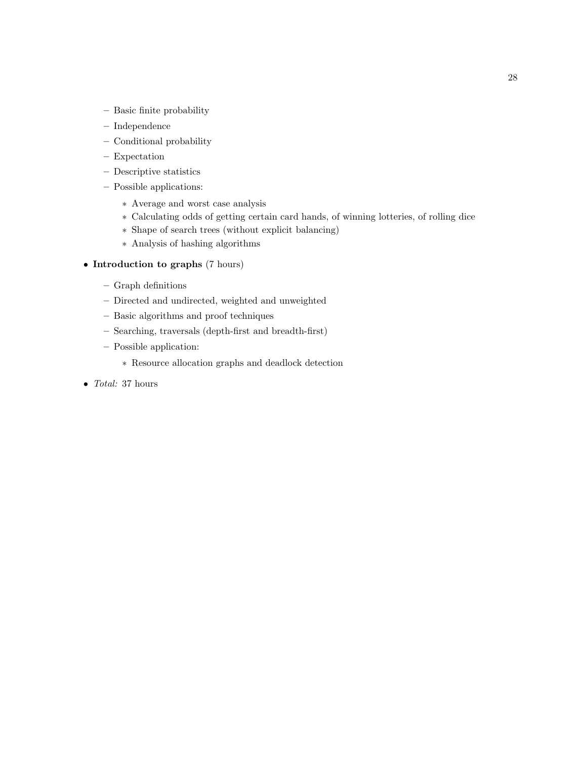- Basic finite probability
- Independence
- Conditional probability
- Expectation
- Descriptive statistics
- Possible applications:
	- ∗ Average and worst case analysis
	- ∗ Calculating odds of getting certain card hands, of winning lotteries, of rolling dice
	- ∗ Shape of search trees (without explicit balancing)
	- ∗ Analysis of hashing algorithms
- Introduction to graphs (7 hours)
	- Graph definitions
	- Directed and undirected, weighted and unweighted
	- Basic algorithms and proof techniques
	- Searching, traversals (depth-first and breadth-first)
	- Possible application:
		- ∗ Resource allocation graphs and deadlock detection
- Total: 37 hours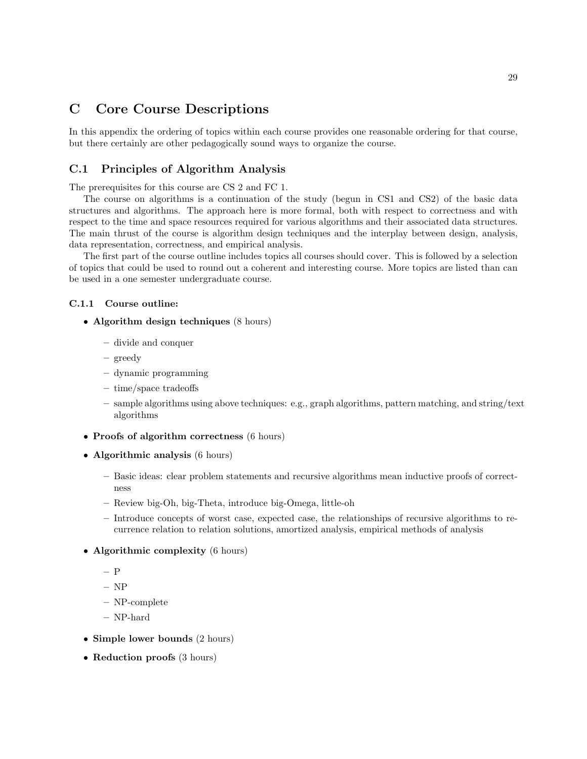# C Core Course Descriptions

In this appendix the ordering of topics within each course provides one reasonable ordering for that course, but there certainly are other pedagogically sound ways to organize the course.

### C.1 Principles of Algorithm Analysis

The prerequisites for this course are CS 2 and FC 1.

The course on algorithms is a continuation of the study (begun in CS1 and CS2) of the basic data structures and algorithms. The approach here is more formal, both with respect to correctness and with respect to the time and space resources required for various algorithms and their associated data structures. The main thrust of the course is algorithm design techniques and the interplay between design, analysis, data representation, correctness, and empirical analysis.

The first part of the course outline includes topics all courses should cover. This is followed by a selection of topics that could be used to round out a coherent and interesting course. More topics are listed than can be used in a one semester undergraduate course.

### C.1.1 Course outline:

- Algorithm design techniques (8 hours)
	- divide and conquer
	- greedy
	- dynamic programming
	- time/space tradeoffs
	- sample algorithms using above techniques: e.g., graph algorithms, pattern matching, and string/text algorithms
- Proofs of algorithm correctness (6 hours)
- Algorithmic analysis (6 hours)
	- Basic ideas: clear problem statements and recursive algorithms mean inductive proofs of correctness
	- Review big-Oh, big-Theta, introduce big-Omega, little-oh
	- Introduce concepts of worst case, expected case, the relationships of recursive algorithms to recurrence relation to relation solutions, amortized analysis, empirical methods of analysis
- Algorithmic complexity (6 hours)
	- P
	- NP
	- NP-complete
	- NP-hard
- Simple lower bounds (2 hours)
- Reduction proofs (3 hours)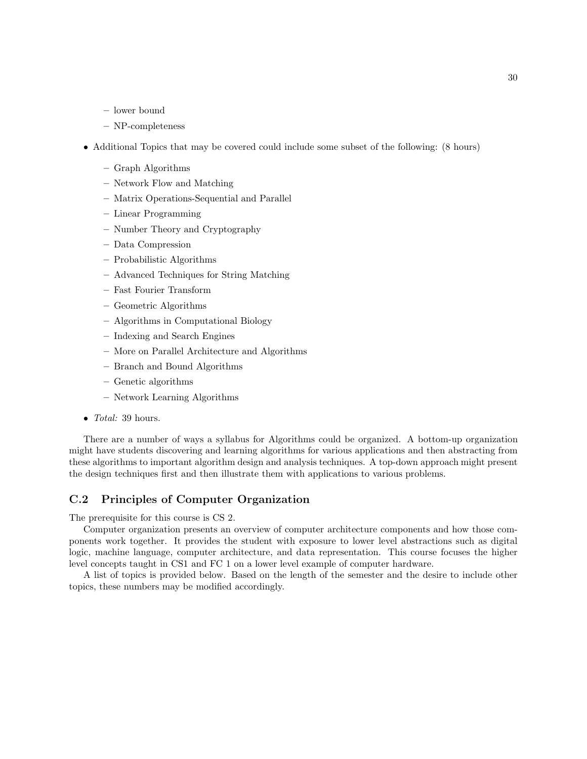- lower bound
- NP-completeness
- Additional Topics that may be covered could include some subset of the following: (8 hours)
	- Graph Algorithms
	- Network Flow and Matching
	- Matrix Operations-Sequential and Parallel
	- Linear Programming
	- Number Theory and Cryptography
	- Data Compression
	- Probabilistic Algorithms
	- Advanced Techniques for String Matching
	- Fast Fourier Transform
	- Geometric Algorithms
	- Algorithms in Computational Biology
	- Indexing and Search Engines
	- More on Parallel Architecture and Algorithms
	- Branch and Bound Algorithms
	- Genetic algorithms
	- Network Learning Algorithms
- Total: 39 hours.

There are a number of ways a syllabus for Algorithms could be organized. A bottom-up organization might have students discovering and learning algorithms for various applications and then abstracting from these algorithms to important algorithm design and analysis techniques. A top-down approach might present the design techniques first and then illustrate them with applications to various problems.

### C.2 Principles of Computer Organization

The prerequisite for this course is CS 2.

Computer organization presents an overview of computer architecture components and how those components work together. It provides the student with exposure to lower level abstractions such as digital logic, machine language, computer architecture, and data representation. This course focuses the higher level concepts taught in CS1 and FC 1 on a lower level example of computer hardware.

A list of topics is provided below. Based on the length of the semester and the desire to include other topics, these numbers may be modified accordingly.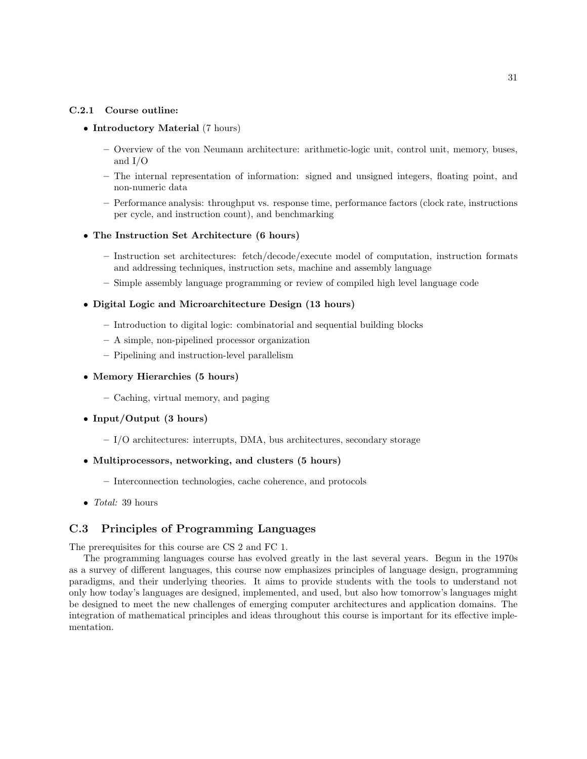#### C.2.1 Course outline:

- Introductory Material (7 hours)
	- Overview of the von Neumann architecture: arithmetic-logic unit, control unit, memory, buses, and I/O
	- The internal representation of information: signed and unsigned integers, floating point, and non-numeric data
	- Performance analysis: throughput vs. response time, performance factors (clock rate, instructions per cycle, and instruction count), and benchmarking
- The Instruction Set Architecture (6 hours)
	- Instruction set architectures: fetch/decode/execute model of computation, instruction formats and addressing techniques, instruction sets, machine and assembly language
	- Simple assembly language programming or review of compiled high level language code
- Digital Logic and Microarchitecture Design (13 hours)
	- Introduction to digital logic: combinatorial and sequential building blocks
	- A simple, non-pipelined processor organization
	- Pipelining and instruction-level parallelism
- Memory Hierarchies (5 hours)
	- Caching, virtual memory, and paging
- Input/Output (3 hours)
	- I/O architectures: interrupts, DMA, bus architectures, secondary storage
- Multiprocessors, networking, and clusters (5 hours)
	- Interconnection technologies, cache coherence, and protocols
- Total: 39 hours

### C.3 Principles of Programming Languages

The prerequisites for this course are CS 2 and FC 1.

The programming languages course has evolved greatly in the last several years. Begun in the 1970s as a survey of different languages, this course now emphasizes principles of language design, programming paradigms, and their underlying theories. It aims to provide students with the tools to understand not only how today's languages are designed, implemented, and used, but also how tomorrow's languages might be designed to meet the new challenges of emerging computer architectures and application domains. The integration of mathematical principles and ideas throughout this course is important for its effective implementation.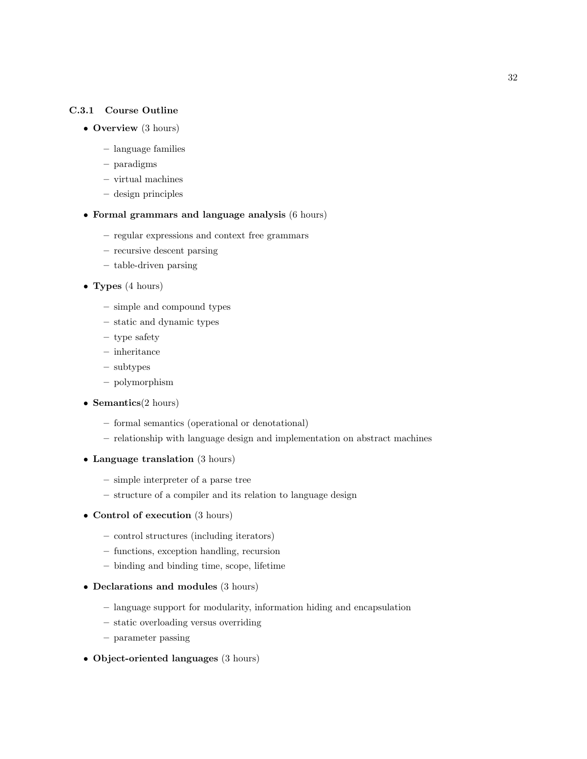### C.3.1 Course Outline

- Overview (3 hours)
	- language families
	- paradigms
	- virtual machines
	- design principles

### • Formal grammars and language analysis (6 hours)

- regular expressions and context free grammars
- recursive descent parsing
- table-driven parsing
- Types (4 hours)
	- simple and compound types
	- static and dynamic types
	- type safety
	- inheritance
	- subtypes
	- polymorphism
- Semantics(2 hours)
	- formal semantics (operational or denotational)
	- relationship with language design and implementation on abstract machines
- Language translation (3 hours)
	- simple interpreter of a parse tree
	- structure of a compiler and its relation to language design
- Control of execution (3 hours)
	- control structures (including iterators)
	- functions, exception handling, recursion
	- binding and binding time, scope, lifetime
- Declarations and modules (3 hours)
	- language support for modularity, information hiding and encapsulation
	- static overloading versus overriding
	- parameter passing
- Object-oriented languages (3 hours)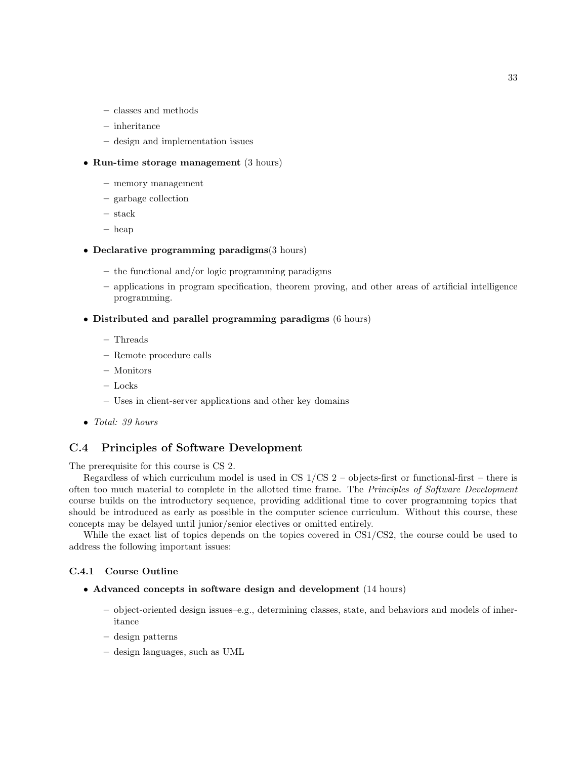- classes and methods
- inheritance
- design and implementation issues

#### • Run-time storage management (3 hours)

- memory management
- garbage collection
- stack
- heap

#### • Declarative programming paradigms (3 hours)

- the functional and/or logic programming paradigms
- applications in program specification, theorem proving, and other areas of artificial intelligence programming.

### • Distributed and parallel programming paradigms (6 hours)

- Threads
- Remote procedure calls
- Monitors
- Locks
- Uses in client-server applications and other key domains
- Total: 39 hours

# C.4 Principles of Software Development

The prerequisite for this course is CS 2.

Regardless of which curriculum model is used in CS  $1/CS$  2 – objects-first or functional-first – there is often too much material to complete in the allotted time frame. The Principles of Software Development course builds on the introductory sequence, providing additional time to cover programming topics that should be introduced as early as possible in the computer science curriculum. Without this course, these concepts may be delayed until junior/senior electives or omitted entirely.

While the exact list of topics depends on the topics covered in CS1/CS2, the course could be used to address the following important issues:

#### C.4.1 Course Outline

- Advanced concepts in software design and development (14 hours)
	- object-oriented design issues–e.g., determining classes, state, and behaviors and models of inheritance
	- design patterns
	- design languages, such as UML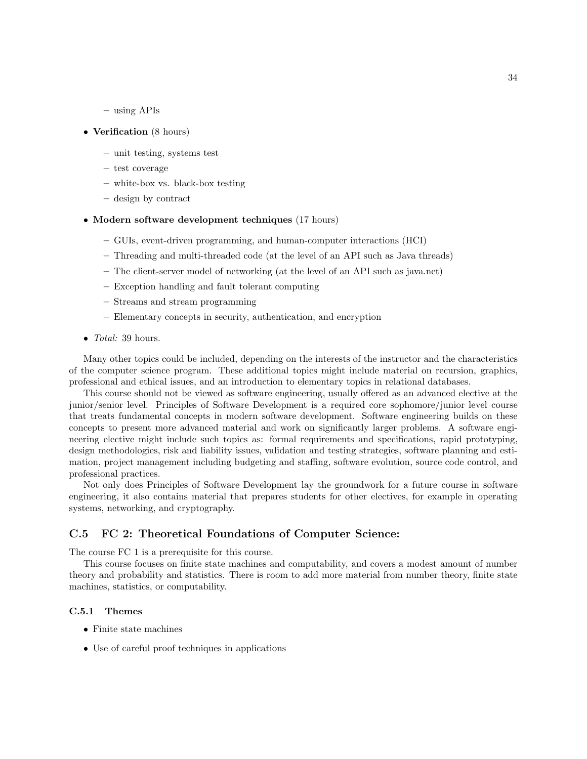- using APIs
- Verification (8 hours)
	- unit testing, systems test
	- test coverage
	- white-box vs. black-box testing
	- design by contract
- Modern software development techniques (17 hours)
	- GUIs, event-driven programming, and human-computer interactions (HCI)
	- Threading and multi-threaded code (at the level of an API such as Java threads)
	- The client-server model of networking (at the level of an API such as java.net)
	- Exception handling and fault tolerant computing
	- Streams and stream programming
	- Elementary concepts in security, authentication, and encryption
- *Total:* 39 hours.

Many other topics could be included, depending on the interests of the instructor and the characteristics of the computer science program. These additional topics might include material on recursion, graphics, professional and ethical issues, and an introduction to elementary topics in relational databases.

This course should not be viewed as software engineering, usually offered as an advanced elective at the junior/senior level. Principles of Software Development is a required core sophomore/junior level course that treats fundamental concepts in modern software development. Software engineering builds on these concepts to present more advanced material and work on significantly larger problems. A software engineering elective might include such topics as: formal requirements and specifications, rapid prototyping, design methodologies, risk and liability issues, validation and testing strategies, software planning and estimation, project management including budgeting and staffing, software evolution, source code control, and professional practices.

Not only does Principles of Software Development lay the groundwork for a future course in software engineering, it also contains material that prepares students for other electives, for example in operating systems, networking, and cryptography.

### C.5 FC 2: Theoretical Foundations of Computer Science:

The course FC 1 is a prerequisite for this course.

This course focuses on finite state machines and computability, and covers a modest amount of number theory and probability and statistics. There is room to add more material from number theory, finite state machines, statistics, or computability.

#### C.5.1 Themes

- Finite state machines
- Use of careful proof techniques in applications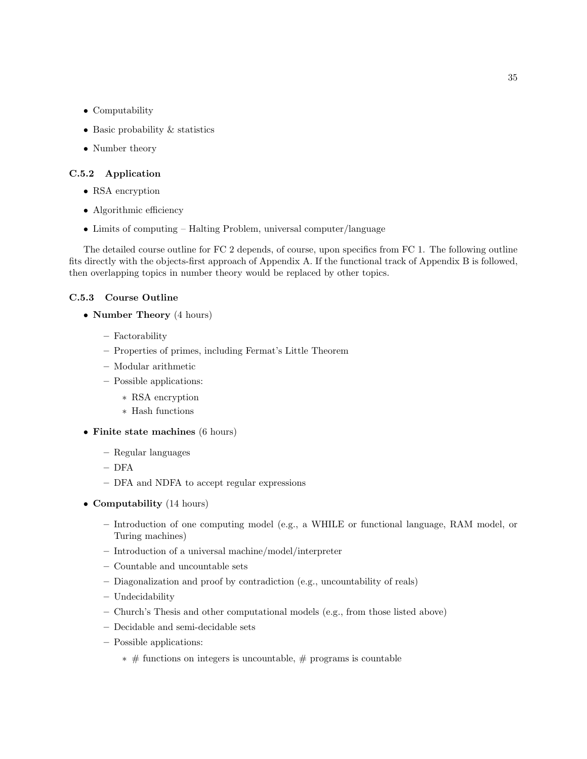- Computability
- Basic probability & statistics
- Number theory

### C.5.2 Application

- RSA encryption
- Algorithmic efficiency
- Limits of computing Halting Problem, universal computer/language

The detailed course outline for FC 2 depends, of course, upon specifics from FC 1. The following outline fits directly with the objects-first approach of Appendix A. If the functional track of Appendix B is followed, then overlapping topics in number theory would be replaced by other topics.

### C.5.3 Course Outline

- Number Theory (4 hours)
	- Factorability
	- Properties of primes, including Fermat's Little Theorem
	- Modular arithmetic
	- Possible applications:
		- ∗ RSA encryption
		- ∗ Hash functions
- Finite state machines (6 hours)
	- Regular languages
	- DFA
	- DFA and NDFA to accept regular expressions
- Computability (14 hours)
	- Introduction of one computing model (e.g., a WHILE or functional language, RAM model, or Turing machines)
	- Introduction of a universal machine/model/interpreter
	- Countable and uncountable sets
	- Diagonalization and proof by contradiction (e.g., uncountability of reals)
	- Undecidability
	- Church's Thesis and other computational models (e.g., from those listed above)
	- Decidable and semi-decidable sets
	- Possible applications:
		- ∗ # functions on integers is uncountable, # programs is countable